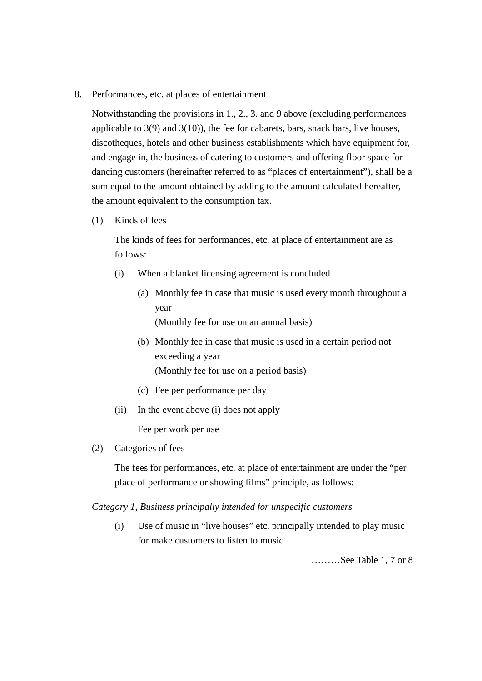8. Performances, etc. at places of entertainment

Notwithstanding the provisions in 1., 2., 3. and 9 above (excluding performances applicable to  $3(9)$  and  $3(10)$ ), the fee for cabarets, bars, snack bars, live houses, discotheques, hotels and other business establishments which have equipment for, and engage in, the business of catering to customers and offering floor space for dancing customers (hereinafter referred to as "places of entertainment"), shall be a sum equal to the amount obtained by adding to the amount calculated hereafter, the amount equivalent to the consumption tax.

(1) Kinds of fees

The kinds of fees for performances, etc. at place of entertainment are as follows:

- (i) When a blanket licensing agreement is concluded
	- (a) Monthly fee in case that music is used every month throughout a year (Monthly fee for use on an annual basis)

- (b) Monthly fee in case that music is used in a certain period not exceeding a year (Monthly fee for use on a period basis)
- (c) Fee per performance per day
- (ii) In the event above (i) does not apply

Fee per work per use

(2) Categories of fees

The fees for performances, etc. at place of entertainment are under the "per place of performance or showing films" principle, as follows:

*Category 1, Business principally intended for unspecific customers*

(i) Use of music in "live houses" etc. principally intended to play music for make customers to listen to music

………See Table 1, 7 or 8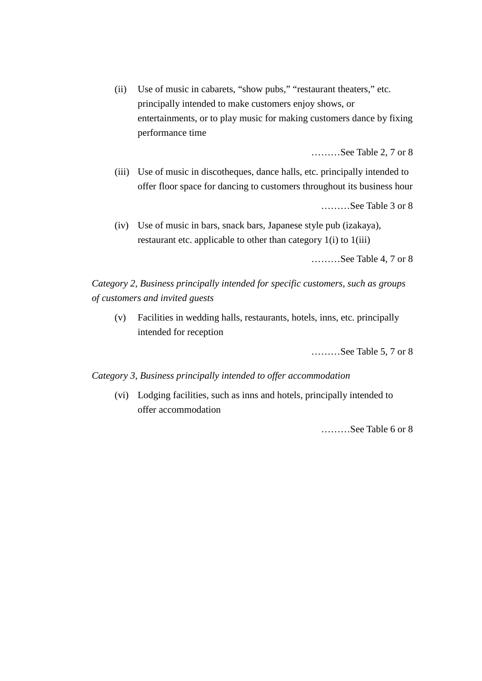(ii) Use of music in cabarets, "show pubs," "restaurant theaters," etc. principally intended to make customers enjoy shows, or entertainments, or to play music for making customers dance by fixing performance time

………See Table 2, 7 or 8

(iii) Use of music in discotheques, dance halls, etc. principally intended to offer floor space for dancing to customers throughout its business hour

………See Table 3 or 8

(iv) Use of music in bars, snack bars, Japanese style pub (izakaya), restaurant etc. applicable to other than category 1(i) to 1(iii)

………See Table 4, 7 or 8

*Category 2, Business principally intended for specific customers, such as groups of customers and invited guests*

(v) Facilities in wedding halls, restaurants, hotels, inns, etc. principally intended for reception

………See Table 5, 7 or 8

### *Category 3, Business principally intended to offer accommodation*

(vi) Lodging facilities, such as inns and hotels, principally intended to offer accommodation

………See Table 6 or 8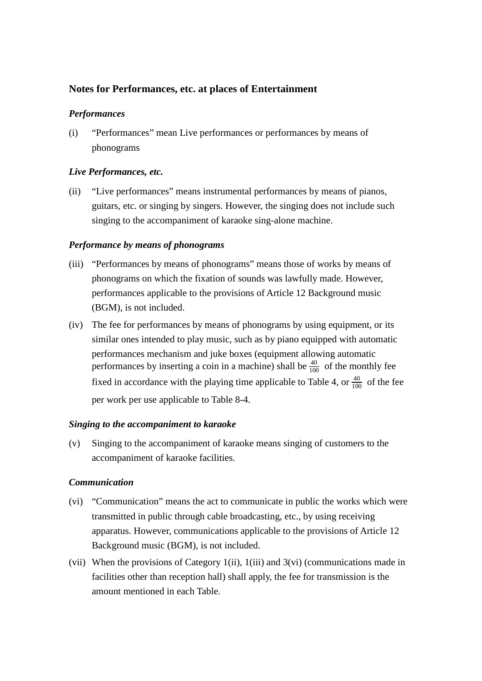## **Notes for Performances, etc. at places of Entertainment**

### *Performances*

(i) "Performances" mean Live performances or performances by means of phonograms

### *Live Performances, etc.*

(ii) "Live performances" means instrumental performances by means of pianos, guitars, etc. or singing by singers. However, the singing does not include such singing to the accompaniment of karaoke sing-alone machine.

### *Performance by means of phonograms*

- (iii) "Performances by means of phonograms" means those of works by means of phonograms on which the fixation of sounds was lawfully made. However, performances applicable to the provisions of Article 12 Background music (BGM), is not included.
- (iv) The fee for performances by means of phonograms by using equipment, or its similar ones intended to play music, such as by piano equipped with automatic performances mechanism and juke boxes (equipment allowing automatic performances by inserting a coin in a machine) shall be  $\frac{40}{100}$  of the monthly fee fixed in accordance with the playing time applicable to Table 4, or  $\frac{40}{100}$  of the fee per work per use applicable to Table 8-4.

### *Singing to the accompaniment to karaoke*

(v) Singing to the accompaniment of karaoke means singing of customers to the accompaniment of karaoke facilities.

### *Communication*

- (vi) "Communication" means the act to communicate in public the works which were transmitted in public through cable broadcasting, etc., by using receiving apparatus. However, communications applicable to the provisions of Article 12 Background music (BGM), is not included.
- (vii) When the provisions of Category 1(ii), 1(iii) and 3(vi) (communications made in facilities other than reception hall) shall apply, the fee for transmission is the amount mentioned in each Table.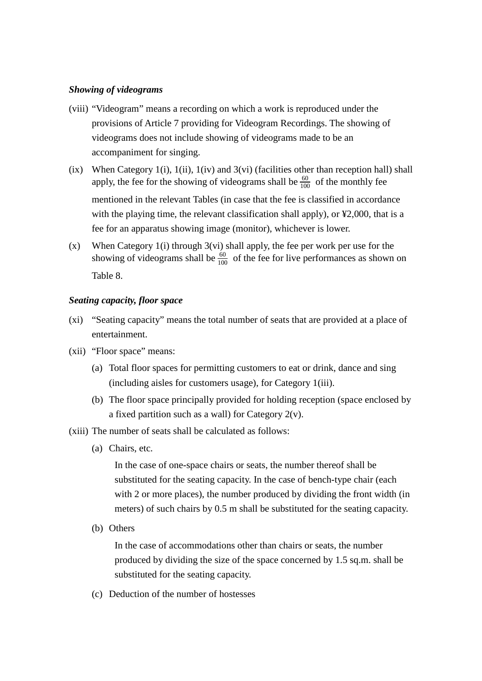### *Showing of videograms*

- (viii) "Videogram" means a recording on which a work is reproduced under the provisions of Article 7 providing for Videogram Recordings. The showing of videograms does not include showing of videograms made to be an accompaniment for singing.
- (ix) When Category 1(i), 1(ii), 1(iv) and 3(vi) (facilities other than reception hall) shall apply, the fee for the showing of videograms shall be  $\frac{60}{100}$  of the monthly fee mentioned in the relevant Tables (in case that the fee is classified in accordance with the playing time, the relevant classification shall apply), or  $\yen$ 2,000, that is a fee for an apparatus showing image (monitor), whichever is lower.
- (x) When Category 1(i) through 3(vi) shall apply, the fee per work per use for the showing of videograms shall be  $\frac{60}{100}$  of the fee for live performances as shown on Table 8.

### *Seating capacity, floor space*

- (xi) "Seating capacity" means the total number of seats that are provided at a place of entertainment.
- (xii) "Floor space" means:
	- (a) Total floor spaces for permitting customers to eat or drink, dance and sing (including aisles for customers usage), for Category 1(iii).
	- (b) The floor space principally provided for holding reception (space enclosed by a fixed partition such as a wall) for Category  $2(v)$ .
- (xiii) The number of seats shall be calculated as follows:
	- (a) Chairs, etc.

In the case of one-space chairs or seats, the number thereof shall be substituted for the seating capacity. In the case of bench-type chair (each with 2 or more places), the number produced by dividing the front width (in meters) of such chairs by 0.5 m shall be substituted for the seating capacity.

(b) Others

In the case of accommodations other than chairs or seats, the number produced by dividing the size of the space concerned by 1.5 sq.m. shall be substituted for the seating capacity.

(c) Deduction of the number of hostesses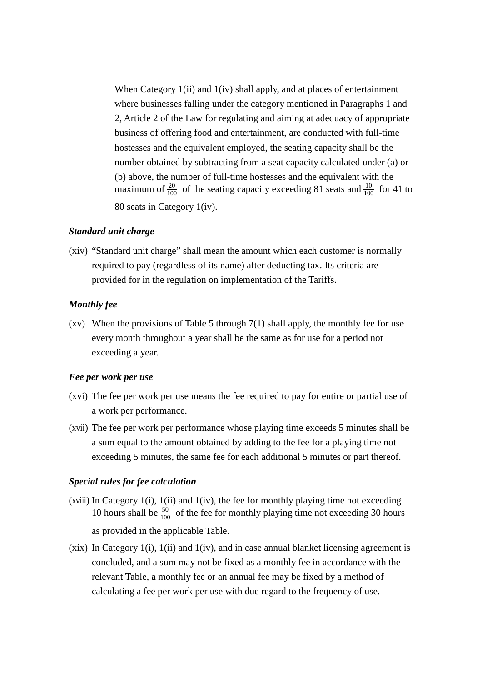When Category 1(ii) and 1(iv) shall apply, and at places of entertainment where businesses falling under the category mentioned in Paragraphs 1 and 2, Article 2 of the Law for regulating and aiming at adequacy of appropriate business of offering food and entertainment, are conducted with full-time hostesses and the equivalent employed, the seating capacity shall be the number obtained by subtracting from a seat capacity calculated under (a) or (b) above, the number of full-time hostesses and the equivalent with the maximum of  $\frac{20}{100}$  of the seating capacity exceeding 81 seats and  $\frac{10}{100}$  for 41 to 80 seats in Category 1(iv).

### *Standard unit charge*

(xiv) "Standard unit charge" shall mean the amount which each customer is normally required to pay (regardless of its name) after deducting tax. Its criteria are provided for in the regulation on implementation of the Tariffs.

#### *Monthly fee*

(xv) When the provisions of Table 5 through  $7(1)$  shall apply, the monthly fee for use every month throughout a year shall be the same as for use for a period not exceeding a year.

#### *Fee per work per use*

- (xvi) The fee per work per use means the fee required to pay for entire or partial use of a work per performance.
- (xvii) The fee per work per performance whose playing time exceeds 5 minutes shall be a sum equal to the amount obtained by adding to the fee for a playing time not exceeding 5 minutes, the same fee for each additional 5 minutes or part thereof.

#### *Special rules for fee calculation*

- (xviii) In Category 1(i), 1(ii) and 1(iv), the fee for monthly playing time not exceeding 10 hours shall be  $\frac{50}{100}$  of the fee for monthly playing time not exceeding 30 hours as provided in the applicable Table.
- (xix) In Category 1(i), 1(ii) and 1(iv), and in case annual blanket licensing agreement is concluded, and a sum may not be fixed as a monthly fee in accordance with the relevant Table, a monthly fee or an annual fee may be fixed by a method of calculating a fee per work per use with due regard to the frequency of use.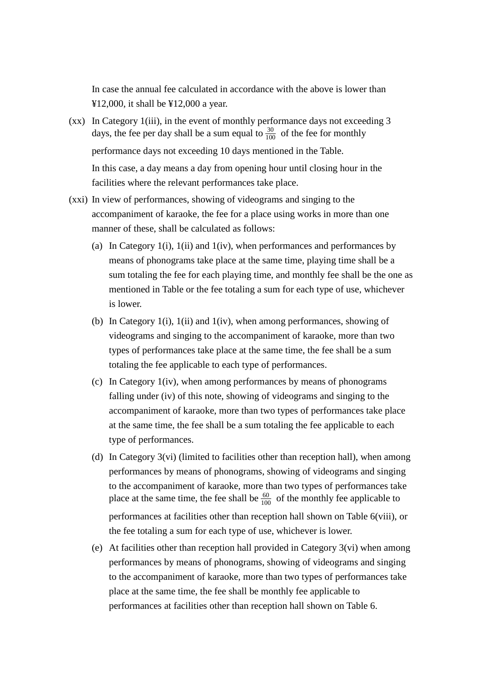In case the annual fee calculated in accordance with the above is lower than ¥12,000, it shall be ¥12,000 a year.

- (xx) In Category 1(iii), in the event of monthly performance days not exceeding 3 days, the fee per day shall be a sum equal to  $\frac{30}{100}$  of the fee for monthly performance days not exceeding 10 days mentioned in the Table. In this case, a day means a day from opening hour until closing hour in the facilities where the relevant performances take place.
- (xxi) In view of performances, showing of videograms and singing to the accompaniment of karaoke, the fee for a place using works in more than one manner of these, shall be calculated as follows:
	- (a) In Category 1(i), 1(ii) and 1(iv), when performances and performances by means of phonograms take place at the same time, playing time shall be a sum totaling the fee for each playing time, and monthly fee shall be the one as mentioned in Table or the fee totaling a sum for each type of use, whichever is lower.
	- (b) In Category 1(i), 1(ii) and 1(iv), when among performances, showing of videograms and singing to the accompaniment of karaoke, more than two types of performances take place at the same time, the fee shall be a sum totaling the fee applicable to each type of performances.
	- (c) In Category 1(iv), when among performances by means of phonograms falling under (iv) of this note, showing of videograms and singing to the accompaniment of karaoke, more than two types of performances take place at the same time, the fee shall be a sum totaling the fee applicable to each type of performances.
	- (d) In Category 3(vi) (limited to facilities other than reception hall), when among performances by means of phonograms, showing of videograms and singing to the accompaniment of karaoke, more than two types of performances take place at the same time, the fee shall be  $\frac{60}{100}$  of the monthly fee applicable to performances at facilities other than reception hall shown on Table 6(viii), or the fee totaling a sum for each type of use, whichever is lower.
	- (e) At facilities other than reception hall provided in Category 3(vi) when among performances by means of phonograms, showing of videograms and singing to the accompaniment of karaoke, more than two types of performances take place at the same time, the fee shall be monthly fee applicable to performances at facilities other than reception hall shown on Table 6.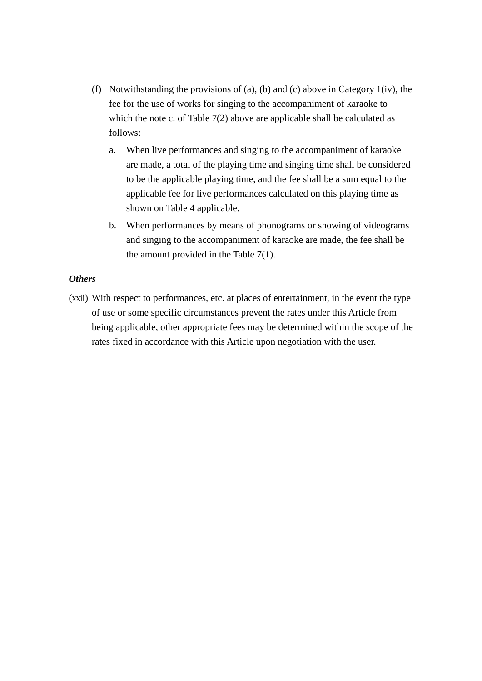- (f) Notwithstanding the provisions of (a), (b) and (c) above in Category 1(iv), the fee for the use of works for singing to the accompaniment of karaoke to which the note c. of Table 7(2) above are applicable shall be calculated as follows:
	- a. When live performances and singing to the accompaniment of karaoke are made, a total of the playing time and singing time shall be considered to be the applicable playing time, and the fee shall be a sum equal to the applicable fee for live performances calculated on this playing time as shown on Table 4 applicable.
	- b. When performances by means of phonograms or showing of videograms and singing to the accompaniment of karaoke are made, the fee shall be the amount provided in the Table 7(1).

### *Others*

(xxii) With respect to performances, etc. at places of entertainment, in the event the type of use or some specific circumstances prevent the rates under this Article from being applicable, other appropriate fees may be determined within the scope of the rates fixed in accordance with this Article upon negotiation with the user.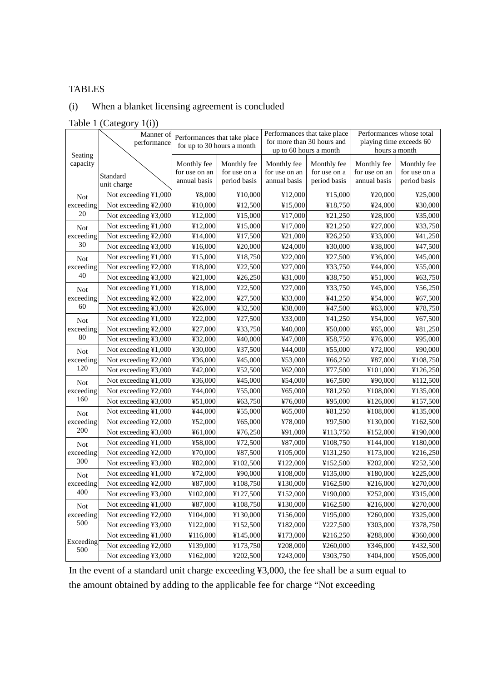### TABLES

# (i) When a blanket licensing agreement is concluded

### Table 1 (Category 1(i))

|                     | Manner of<br>performance | Performances that take place<br>for up to 30 hours a month |                                             | Performances that take place<br>for more than 30 hours and<br>up to 60 hours a month |                                             | Performances whose total<br>playing time exceeds 60<br>hours a month |                                             |
|---------------------|--------------------------|------------------------------------------------------------|---------------------------------------------|--------------------------------------------------------------------------------------|---------------------------------------------|----------------------------------------------------------------------|---------------------------------------------|
| Seating<br>capacity | Standard<br>unit charge  | Monthly fee<br>for use on an<br>annual basis               | Monthly fee<br>for use on a<br>period basis | Monthly fee<br>for use on an<br>annual basis                                         | Monthly fee<br>for use on a<br>period basis | Monthly fee<br>for use on an<br>annual basis                         | Monthly fee<br>for use on a<br>period basis |
| <b>Not</b>          | Not exceeding ¥1,000     | ¥8,000                                                     | ¥10,000                                     | ¥12,000                                                                              | ¥15,000                                     | ¥20,000                                                              | ¥25,000                                     |
| exceeding           | Not exceeding ¥2,000     | ¥10,000                                                    | ¥12,500                                     | ¥15,000                                                                              | ¥18,750                                     | ¥24,000                                                              | ¥30,000                                     |
| 20                  | Not exceeding ¥3,000     | ¥12,000                                                    | ¥15,000                                     | ¥17,000                                                                              | ¥21,250                                     | ¥28,000                                                              | ¥35,000                                     |
| <b>Not</b>          | Not exceeding ¥1,000     | ¥12,000                                                    | ¥15,000                                     | ¥17,000                                                                              | ¥21,250                                     | ¥27,000                                                              | ¥33,750                                     |
| exceeding           | Not exceeding ¥2,000     | ¥14,000                                                    | ¥17,500                                     | ¥21,000                                                                              | 426,250                                     | ¥33,000                                                              | ¥41,250                                     |
| 30                  | Not exceeding ¥3,000     | ¥16,000                                                    | ¥20,000                                     | ¥24,000                                                                              | ¥30,000                                     | ¥38,000                                                              | ¥47,500                                     |
| <b>Not</b>          | Not exceeding ¥1,000     | ¥15,000                                                    | ¥18,750                                     | ¥22,000                                                                              | ¥27,500                                     | ¥36,000                                                              | ¥45,000                                     |
| exceeding           | Not exceeding ¥2,000     | ¥18,000                                                    | ¥22,500                                     | ¥27,000                                                                              | ¥33,750                                     | ¥44,000                                                              | ¥55,000                                     |
| 40                  | Not exceeding ¥3,000     | ¥21,000                                                    | ¥26,250                                     | ¥31,000                                                                              | ¥38,750                                     | ¥51,000                                                              | ¥63,750                                     |
| <b>Not</b>          | Not exceeding ¥1,000     | ¥18,000                                                    | ¥22,500                                     | ¥27,000                                                                              | ¥33,750                                     | ¥45,000                                                              | ¥56,250                                     |
| exceeding           | Not exceeding ¥2,000     | ¥22,000                                                    | ¥27,500                                     | ¥33,000                                                                              | ¥41,250                                     | ¥54,000                                                              | ¥67,500                                     |
| 60                  | Not exceeding ¥3,000     | ¥26,000                                                    | ¥32,500                                     | ¥38,000                                                                              | ¥47,500                                     | ¥63,000                                                              | ¥78,750                                     |
| <b>Not</b>          | Not exceeding ¥1,000     | ¥22,000                                                    | ¥27,500                                     | ¥33,000                                                                              | ¥41,250                                     | ¥54,000                                                              | ¥67,500                                     |
| exceeding           | Not exceeding ¥2,000     | ¥27,000                                                    | ¥33,750                                     | ¥40,000                                                                              | ¥50,000                                     | ¥65,000                                                              | ¥81,250                                     |
| 80                  | Not exceeding ¥3,000     | ¥32,000                                                    | ¥40,000                                     | ¥47,000                                                                              | ¥58,750                                     | ¥76,000                                                              | ¥95,000                                     |
| <b>Not</b>          | Not exceeding ¥1,000     | ¥30,000                                                    | ¥37,500                                     | ¥44,000                                                                              | ¥55,000                                     | ¥72,000                                                              | ¥90,000                                     |
| exceeding           | Not exceeding ¥2,000     | ¥36,000                                                    | ¥45,000                                     | ¥53,000                                                                              | 466,250                                     | ¥87,000                                                              | ¥108,750                                    |
| 120                 | Not exceeding ¥3,000     | ¥42,000                                                    | ¥52,500                                     | ¥62,000                                                                              | ¥77,500                                     | ¥101,000                                                             | ¥126,250                                    |
| <b>Not</b>          | Not exceeding ¥1,000     | ¥36,000                                                    | ¥45,000                                     | ¥54,000                                                                              | ¥67,500                                     | ¥90,000                                                              | ¥112,500                                    |
| exceeding           | Not exceeding ¥2,000     | ¥44,000                                                    | ¥55,000                                     | 465,000                                                                              | ¥81,250                                     | ¥108,000                                                             | ¥135,000                                    |
| 160                 | Not exceeding ¥3,000     | ¥51,000                                                    | ¥63,750                                     | ¥76,000                                                                              | ¥95,000                                     | ¥126,000                                                             | ¥157,500                                    |
| <b>Not</b>          | Not exceeding ¥1,000     | ¥44,000                                                    | ¥55,000                                     | 465,000                                                                              | ¥81,250                                     | ¥108,000                                                             | ¥135,000                                    |
| exceeding           | Not exceeding ¥2,000     | ¥52,000                                                    | 465,000                                     | ¥78,000                                                                              | ¥97,500                                     | ¥130,000                                                             | ¥162,500                                    |
| 200                 | Not exceeding ¥3,000     | ¥ $61,000$                                                 | ¥76,250                                     | ¥91,000                                                                              | ¥113,750                                    | ¥152,000                                                             | ¥190,000                                    |
| <b>Not</b>          | Not exceeding ¥1,000     | ¥58,000                                                    | ¥72,500                                     | ¥87,000                                                                              | ¥108,750                                    | ¥144,000                                                             | ¥180,000                                    |
| exceeding           | Not exceeding ¥2,000     | ¥70,000                                                    | ¥87,500                                     | ¥105,000                                                                             | ¥131,250                                    | ¥173,000                                                             | ¥216,250                                    |
| 300                 | Not exceeding ¥3,000     | ¥82,000                                                    | ¥102,500                                    | ¥122,000                                                                             | ¥152,500                                    | ¥202,000                                                             | ¥252,500                                    |
| <b>Not</b>          | Not exceeding ¥1,000     | ¥72,000                                                    | ¥90,000                                     | ¥108,000                                                                             | ¥135,000                                    | ¥180,000                                                             | ¥225,000                                    |
| exceeding           | Not exceeding ¥2,000     | ¥87,000                                                    | ¥108,750                                    | ¥130,000                                                                             | ¥162,500                                    | ¥216,000                                                             | ¥270,000                                    |
| 400                 | Not exceeding ¥3,000     | ¥102,000                                                   | ¥127,500                                    | ¥152,000                                                                             | ¥190,000                                    | ¥252,000                                                             | ¥315,000                                    |
| Not                 | Not exceeding ¥1,000     | ¥87,000                                                    | ¥108,750                                    | ¥130,000                                                                             | ¥162,500                                    | ¥216,000                                                             | ¥270,000                                    |
| exceeding           | Not exceeding ¥2,000     | ¥104,000                                                   | ¥130,000                                    | ¥156,000                                                                             | ¥195,000                                    | ¥260,000                                                             | ¥325,000                                    |
| 500                 | Not exceeding ¥3,000     | ¥122,000                                                   | ¥152,500                                    | ¥182,000                                                                             | ¥227,500                                    | ¥303,000                                                             | ¥378,750                                    |
|                     | Not exceeding ¥1,000     | ¥116,000                                                   | ¥145,000                                    | ¥173,000                                                                             | ¥216,250                                    | ¥288,000                                                             | ¥360,000                                    |
| Exceeding           | Not exceeding ¥2,000     | ¥139,000                                                   | ¥173,750                                    | ¥208,000                                                                             | ¥260,000                                    | ¥346,000                                                             | ¥432,500                                    |
| 500                 | Not exceeding ¥3,000     | ¥162,000                                                   | ¥202,500                                    | ¥243,000                                                                             | ¥303,750                                    | ¥404,000                                                             | ¥505,000                                    |

In the event of a standard unit charge exceeding ¥3,000, the fee shall be a sum equal to the amount obtained by adding to the applicable fee for charge "Not exceeding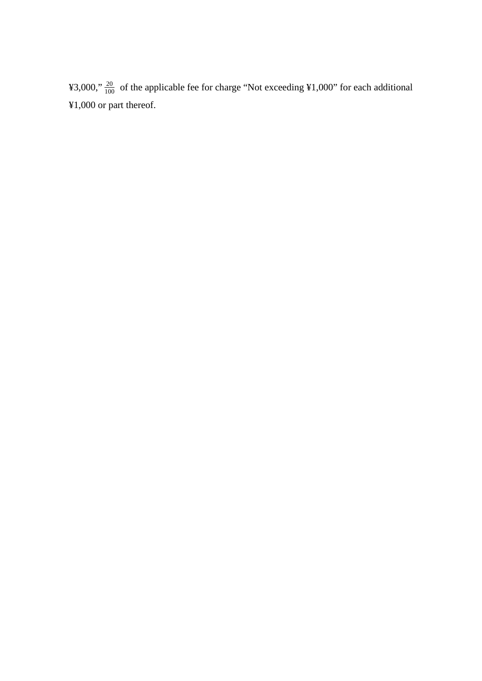¥3,000,"  $\frac{20}{100}$  of the applicable fee for charge "Not exceeding ¥1,000" for each additional ¥1,000 or part thereof.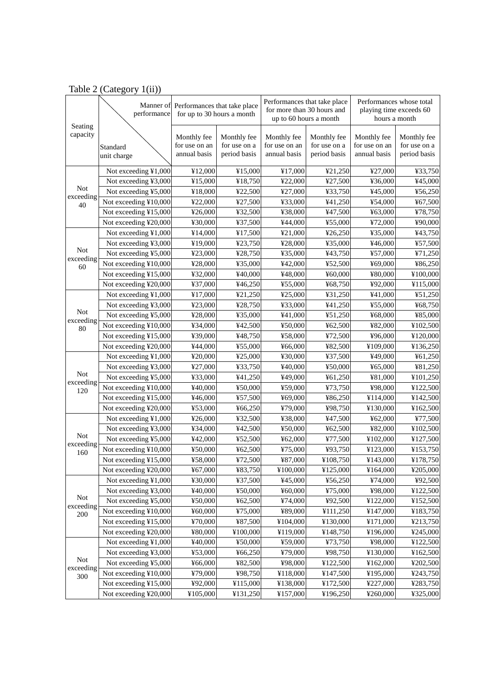| Seating          | performance             | Manner of Performances that take place<br>for up to 30 hours a month |                                             | Performances that take place<br>for more than 30 hours and<br>up to 60 hours a month |                                             | Performances whose total<br>playing time exceeds 60<br>hours a month |                                             |
|------------------|-------------------------|----------------------------------------------------------------------|---------------------------------------------|--------------------------------------------------------------------------------------|---------------------------------------------|----------------------------------------------------------------------|---------------------------------------------|
| capacity         | Standard<br>unit charge | Monthly fee<br>for use on an<br>annual basis                         | Monthly fee<br>for use on a<br>period basis | Monthly fee<br>for use on an<br>annual basis                                         | Monthly fee<br>for use on a<br>period basis | Monthly fee<br>for use on an<br>annual basis                         | Monthly fee<br>for use on a<br>period basis |
|                  | Not exceeding ¥1,000    | ¥12,000                                                              | ¥15,000                                     | ¥17,000                                                                              | ¥21,250                                     | ¥27,000                                                              | ¥33,750                                     |
|                  | Not exceeding ¥3,000    | ¥15,000                                                              | ¥18,750                                     | ¥22,000                                                                              | ¥27,500                                     | ¥36,000                                                              | ¥45,000                                     |
| <b>Not</b>       | Not exceeding ¥5,000    | ¥18,000                                                              | ¥22,500                                     | ¥27,000                                                                              | ¥33,750                                     | ¥45,000                                                              | ¥56,250                                     |
| exceeding<br>40  | Not exceeding ¥10,000   | ¥22,000                                                              | 427,500                                     | ¥33,000                                                                              | ¥41,250                                     | ¥54,000                                                              | ¥67,500                                     |
|                  | Not exceeding ¥15,000   | ¥26,000                                                              | ¥32,500                                     | ¥38,000                                                                              | ¥47,500                                     | ¥63,000                                                              | ¥78,750                                     |
|                  | Not exceeding ¥20,000   | ¥30,000                                                              | ¥37,500                                     | ¥44,000                                                                              | ¥55,000                                     | ¥72,000                                                              | ¥90,000                                     |
|                  | Not exceeding ¥1,000    | ¥14,000                                                              | ¥17,500                                     | ¥21,000                                                                              | ¥26,250                                     | ¥35,000                                                              | ¥43,750                                     |
|                  | Not exceeding ¥3,000    | ¥19,000                                                              | ¥23,750                                     | ¥28,000                                                                              | ¥35,000                                     | ¥46,000                                                              | ¥57,500                                     |
| <b>Not</b>       | Not exceeding ¥5,000    | ¥23,000                                                              | ¥28,750                                     | ¥35,000                                                                              | ¥43,750                                     | ¥57,000                                                              | ¥71,250                                     |
| exceeding<br>60  | Not exceeding ¥10,000   | ¥28,000                                                              | ¥35,000                                     | ¥42,000                                                                              | ¥52,500                                     | ¥69,000                                                              | ¥86,250                                     |
|                  | Not exceeding ¥15,000   | ¥32,000                                                              | ¥40,000                                     | ¥48,000                                                                              | ¥60,000                                     | ¥80,000                                                              | ¥100,000                                    |
|                  | Not exceeding ¥20,000   | ¥37,000                                                              | ¥46,250                                     | ¥55,000                                                                              | ¥68,750                                     | ¥92,000                                                              | ¥115,000                                    |
|                  | Not exceeding ¥1,000    | ¥17,000                                                              | ¥21,250                                     | ¥25,000                                                                              | ¥31,250                                     | ¥41,000                                                              | ¥51,250                                     |
|                  | Not exceeding ¥3,000    | ¥23,000                                                              | ¥28,750                                     | ¥33,000                                                                              | ¥41,250                                     | ¥55,000                                                              | ¥68,750                                     |
| <b>Not</b>       | Not exceeding ¥5,000    | ¥28,000                                                              | ¥35,000                                     | ¥41,000                                                                              | ¥51,250                                     | ¥68,000                                                              | ¥85,000                                     |
| exceeding<br>80  | Not exceeding ¥10,000   | ¥34,000                                                              | ¥42,500                                     | ¥50,000                                                                              | ¥62,500                                     | ¥82,000                                                              | ¥102,500                                    |
|                  | Not exceeding ¥15,000   | ¥39,000                                                              | ¥48,750                                     | ¥58,000                                                                              | ¥72,500                                     | ¥96,000                                                              | ¥120,000                                    |
|                  | Not exceeding ¥20,000   | ¥44,000                                                              | ¥55,000                                     | ¥66,000                                                                              | ¥82,500                                     | ¥109,000                                                             | ¥136,250                                    |
|                  | Not exceeding ¥1,000    | ¥20,000                                                              | ¥25,000                                     | ¥30,000                                                                              | ¥37,500                                     | ¥49,000                                                              | ¥61,250                                     |
|                  | Not exceeding ¥3,000    | ¥27,000                                                              | ¥33,750                                     | ¥40,000                                                                              | ¥50,000                                     | 465,000                                                              | ¥81,250                                     |
| <b>Not</b>       | Not exceeding ¥5,000    | ¥33,000                                                              | ¥41,250                                     | ¥49,000                                                                              | ¥61,250                                     | ¥81,000                                                              | ¥101,250                                    |
| exceeding<br>120 | Not exceeding ¥10,000   | ¥40,000                                                              | ¥50,000                                     | ¥59,000                                                                              | ¥73,750                                     | ¥98,000                                                              | ¥122,500                                    |
|                  | Not exceeding ¥15,000   | ¥46,000                                                              | ¥57,500                                     | ¥69,000                                                                              | ¥86,250                                     | ¥114,000                                                             | ¥142,500                                    |
|                  | Not exceeding ¥20,000   | ¥53,000                                                              | ¥66,250                                     | ¥79,000                                                                              | ¥98,750                                     | ¥130,000                                                             | ¥162,500                                    |
|                  | Not exceeding ¥1,000    | ¥26,000                                                              | ¥32,500                                     | ¥38,000                                                                              | ¥47,500                                     | ¥ $62,000$                                                           | ¥77,500                                     |
|                  | Not exceeding ¥3,000    | ¥34,000                                                              | ¥42,500                                     | ¥50,000                                                                              | ¥62,500                                     | ¥82,000                                                              | ¥102,500                                    |
| <b>Not</b>       | Not exceeding ¥5,000    | ¥42,000                                                              | ¥52,500                                     | ¥ $62,000$                                                                           | ¥77,500                                     | ¥102,000                                                             | ¥127,500                                    |
| exceeding<br>160 | Not exceeding ¥10,000   | ¥50,000                                                              | ¥62,500                                     | ¥75,000                                                                              | ¥93,750                                     | ¥123,000                                                             | ¥153,750                                    |
|                  | Not exceeding ¥15,000   | ¥58,000                                                              | ¥72,500                                     | ¥87,000                                                                              | ¥108,750                                    | ¥143,000                                                             | ¥178,750                                    |
|                  | Not exceeding ¥20,000   | ¥67,000                                                              | ¥83,750                                     | ¥100,000                                                                             | ¥125,000                                    | ¥164,000                                                             | ¥205,000                                    |
|                  | Not exceeding ¥1,000    | ¥30,000                                                              | ¥37,500                                     | ¥45,000                                                                              | ¥56,250                                     | ¥74,000                                                              | ¥92,500                                     |
|                  | Not exceeding ¥3,000    | ¥40,000                                                              | ¥50,000                                     | ¥60,000                                                                              | ¥75,000                                     | ¥98,000                                                              | ¥122,500                                    |
| Not              | Not exceeding ¥5,000    | ¥50,000                                                              | ¥62,500                                     | ¥74,000                                                                              | ¥92,500                                     | ¥122,000                                                             | ¥152,500                                    |
| exceeding<br>200 | Not exceeding ¥10,000   | ¥60,000                                                              | ¥75,000                                     | ¥89,000                                                                              | ¥111,250                                    | ¥147,000                                                             | ¥183,750                                    |
|                  | Not exceeding ¥15,000   | ¥70,000                                                              | ¥87,500                                     | ¥104,000                                                                             | ¥130,000                                    | ¥171,000                                                             | ¥213,750                                    |
|                  | Not exceeding ¥20,000   | ¥80,000                                                              | ¥100,000                                    | ¥119,000                                                                             | ¥148,750                                    | ¥196,000                                                             | ¥245,000                                    |
|                  | Not exceeding ¥1,000    | ¥40,000                                                              | ¥50,000                                     | ¥59,000                                                                              | ¥73,750                                     | ¥98,000                                                              | ¥122,500                                    |
|                  | Not exceeding ¥3,000    | ¥53,000                                                              | ¥66,250                                     | ¥79,000                                                                              | ¥98,750                                     | ¥130,000                                                             | ¥162,500                                    |
| Not              | Not exceeding ¥5,000    | ¥66,000                                                              | ¥82,500                                     | ¥98,000                                                                              | ¥122,500                                    | ¥162,000                                                             | ¥202,500                                    |
| exceeding<br>300 | Not exceeding ¥10,000   | ¥79,000                                                              | ¥98,750                                     | ¥118,000                                                                             | ¥147,500                                    | ¥195,000                                                             | ¥243,750                                    |
|                  | Not exceeding ¥15,000   | ¥92,000                                                              | ¥115,000                                    | ¥138,000                                                                             | ¥172,500                                    | ¥227,000                                                             | ¥283,750                                    |
|                  | Not exceeding ¥20,000   | ¥105,000                                                             | ¥131,250                                    | ¥157,000                                                                             | ¥196,250                                    | ¥260,000                                                             | ¥325,000                                    |

Table 2 (Category 1(ii))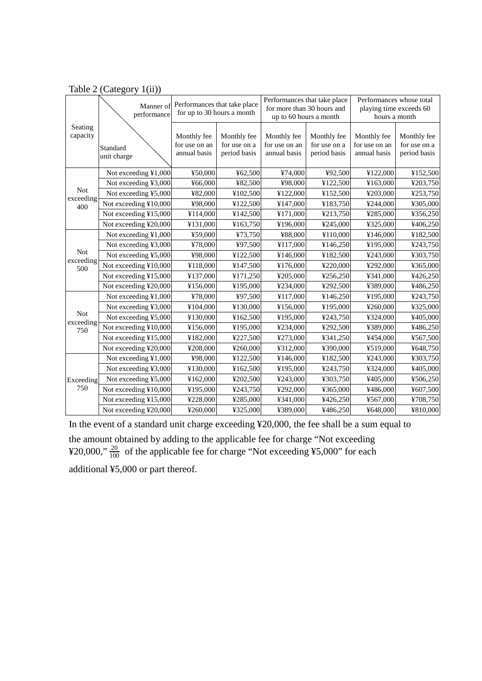|                         | Manner of<br>performance | Performances that take place<br>for up to 30 hours a month |                                             | Performances that take place<br>for more than 30 hours and<br>up to 60 hours a month |                                             | Performances whose total<br>playing time exceeds 60<br>hours a month |                                             |
|-------------------------|--------------------------|------------------------------------------------------------|---------------------------------------------|--------------------------------------------------------------------------------------|---------------------------------------------|----------------------------------------------------------------------|---------------------------------------------|
| Seating<br>capacity     | Standard<br>unit charge  | Monthly fee<br>for use on an<br>annual basis               | Monthly fee<br>for use on a<br>period basis | Monthly fee<br>for use on an<br>annual basis                                         | Monthly fee<br>for use on a<br>period basis | Monthly fee<br>for use on an<br>annual basis                         | Monthly fee<br>for use on a<br>period basis |
|                         | Not exceeding ¥1,000     | ¥50,000                                                    | ¥62,500                                     | ¥74,000                                                                              | ¥92,500                                     | ¥122,000                                                             | ¥152,500                                    |
|                         | Not exceeding ¥3,000     | ¥66,000                                                    | ¥82,500                                     | ¥98,000                                                                              | ¥122,500                                    | ¥163,000                                                             | ¥203,750                                    |
| <b>Not</b>              | Not exceeding ¥5,000     | ¥82,000                                                    | ¥102,500                                    | ¥122,000                                                                             | ¥152,500                                    | ¥203,000                                                             | ¥253,750                                    |
| exceeding<br>400        | Not exceeding ¥10,000    | ¥98,000                                                    | ¥122,500                                    | ¥147,000                                                                             | ¥183,750                                    | ¥244,000                                                             | ¥305,000                                    |
|                         | Not exceeding ¥15,000    | ¥114,000                                                   | ¥142,500                                    | ¥171,000                                                                             | ¥213,750                                    | ¥285,000                                                             | ¥356,250                                    |
|                         | Not exceeding ¥20,000    | ¥131,000                                                   | ¥163,750                                    | ¥196,000                                                                             | ¥245,000                                    | ¥325,000                                                             | ¥406,250                                    |
|                         | Not exceeding ¥1,000     | ¥59,000                                                    | ¥73,750                                     | ¥88,000                                                                              | ¥110,000                                    | ¥146,000                                                             | ¥182,500                                    |
|                         | Not exceeding ¥3,000     | ¥78,000                                                    | ¥97,500                                     | ¥117,000                                                                             | ¥146,250                                    | ¥195,000                                                             | ¥243,750                                    |
| <b>Not</b><br>exceeding | Not exceeding ¥5,000     | ¥98,000                                                    | ¥122,500                                    | ¥146,000                                                                             | ¥182,500                                    | ¥243,000                                                             | ¥303,750                                    |
| 500                     | Not exceeding ¥10,000    | ¥118,000                                                   | ¥147,500                                    | ¥176,000                                                                             | ¥220,000                                    | ¥292,000                                                             | ¥365,000                                    |
|                         | Not exceeding ¥15,000    | ¥137,000                                                   | ¥171,250                                    | ¥205,000                                                                             | ¥256,250                                    | ¥341,000                                                             | ¥426,250                                    |
|                         | Not exceeding ¥20,000    | ¥156,000                                                   | ¥195,000                                    | ¥234,000                                                                             | ¥292,500                                    | ¥389,000                                                             | ¥486,250                                    |
|                         | Not exceeding ¥1,000     | ¥78,000                                                    | ¥97,500                                     | ¥117,000                                                                             | ¥146,250                                    | ¥195,000                                                             | ¥243,750                                    |
|                         | Not exceeding ¥3,000     | ¥104,000                                                   | ¥130,000                                    | ¥156,000                                                                             | ¥195,000                                    | ¥260,000                                                             | ¥325,000                                    |
| <b>Not</b><br>exceeding | Not exceeding ¥5,000     | ¥130,000                                                   | ¥162,500                                    | ¥195,000                                                                             | ¥243,750                                    | ¥324,000                                                             | ¥405,000                                    |
| 750                     | Not exceeding ¥10,000    | ¥156,000                                                   | ¥195,000                                    | ¥234,000                                                                             | ¥292,500                                    | ¥389,000                                                             | ¥486,250                                    |
|                         | Not exceeding ¥15,000    | ¥182,000                                                   | ¥227,500                                    | ¥273,000                                                                             | ¥341,250                                    | ¥454,000                                                             | ¥567,500                                    |
|                         | Not exceeding ¥20,000    | ¥208,000                                                   | ¥260,000                                    | ¥312,000                                                                             | ¥390,000                                    | ¥519,000                                                             | ¥648,750                                    |
|                         | Not exceeding ¥1,000     | ¥98,000                                                    | ¥122,500                                    | ¥146,000                                                                             | ¥182,500                                    | ¥243,000                                                             | ¥303,750                                    |
|                         | Not exceeding ¥3,000     | ¥130,000                                                   | ¥162,500                                    | ¥195,000                                                                             | ¥243,750                                    | ¥324,000                                                             | ¥405,000                                    |
| Exceeding               | Not exceeding ¥5,000     | ¥162,000                                                   | ¥202,500                                    | ¥243,000                                                                             | ¥303,750                                    | ¥405,000                                                             | ¥506,250                                    |
| 750                     | Not exceeding ¥10,000    | ¥195,000                                                   | ¥243,750                                    | ¥292,000                                                                             | ¥365,000                                    | ¥486,000                                                             | ¥607,500                                    |
|                         | Not exceeding ¥15,000    | ¥228,000                                                   | ¥285,000                                    | ¥341,000                                                                             | ¥426,250                                    | ¥567,000                                                             | ¥708,750                                    |
|                         | Not exceeding ¥20,000    | ¥260,000                                                   | ¥325,000                                    | ¥389,000                                                                             | ¥486,250                                    | ¥648,000                                                             | ¥810,000                                    |

Table 2 (Category 1(ii))

In the event of a standard unit charge exceeding ¥20,000, the fee shall be a sum equal to the amount obtained by adding to the applicable fee for charge "Not exceeding ¥20,000,"  $\frac{20}{100}$  of the applicable fee for charge "Not exceeding ¥5,000" for each additional ¥5,000 or part thereof.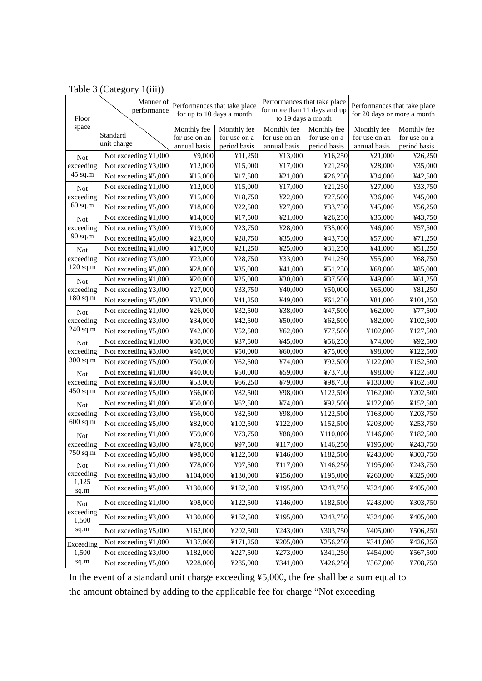| Floor                   | Manner of<br>performance |               | Performances that take place<br>for up to 10 days a month | Performances that take place<br>for more than 11 days and up<br>to 19 days a month |              | Performances that take place<br>for 20 days or more a month |              |
|-------------------------|--------------------------|---------------|-----------------------------------------------------------|------------------------------------------------------------------------------------|--------------|-------------------------------------------------------------|--------------|
| space                   |                          | Monthly fee   | Monthly fee                                               | Monthly fee                                                                        | Monthly fee  | Monthly fee                                                 | Monthly fee  |
|                         | Standard                 | for use on an | for use on a                                              | for use on an                                                                      | for use on a | for use on an                                               | for use on a |
|                         | unit charge              | annual basis  | period basis                                              | annual basis                                                                       | period basis | annual basis                                                | period basis |
| <b>Not</b>              | Not exceeding ¥1,000     | ¥9,000        | ¥11,250                                                   | ¥13,000                                                                            | ¥16,250      | ¥21,000                                                     | 426,250      |
| exceeding               | Not exceeding ¥3,000     | ¥12,000       | ¥15,000                                                   | ¥17,000                                                                            | ¥21,250      | ¥28,000                                                     | ¥35,000      |
| 45 sq.m                 | Not exceeding ¥5,000     | ¥15,000       | ¥17,500                                                   | ¥21,000                                                                            | 426,250      | ¥34,000                                                     | ¥42,500      |
| <b>Not</b>              | Not exceeding ¥1,000     | ¥12,000       | ¥15,000                                                   | ¥17,000                                                                            | ¥21,250      | ¥27,000                                                     | ¥33,750      |
| exceeding               | Not exceeding ¥3,000     | ¥15,000       | ¥18,750                                                   | ¥22,000                                                                            | ¥27,500      | ¥36,000                                                     | ¥45,000      |
| $60$ sq.m               | Not exceeding ¥5,000     | ¥18,000       | ¥22,500                                                   | ¥27,000                                                                            | ¥33,750      | ¥45,000                                                     | ¥56,250      |
| <b>Not</b>              | Not exceeding ¥1,000     | ¥14,000       | ¥17,500                                                   | ¥21,000                                                                            | 426,250      | ¥35,000                                                     | ¥43,750      |
| exceeding               | Not exceeding ¥3,000     | ¥19,000       | ¥23,750                                                   | ¥28,000                                                                            | ¥35,000      | ¥46,000                                                     | ¥57,500      |
| 90 sq.m                 | Not exceeding ¥5,000     | ¥23,000       | ¥28,750                                                   | ¥35,000                                                                            | ¥43,750      | ¥57,000                                                     | ¥71,250      |
| <b>Not</b>              | Not exceeding ¥1,000     | ¥17,000       | ¥21,250                                                   | ¥25,000                                                                            | ¥31,250      | ¥41,000                                                     | ¥51,250      |
| exceeding               | Not exceeding ¥3,000     | ¥23,000       | ¥28,750                                                   | ¥33,000                                                                            | ¥41,250      | ¥55,000                                                     | ¥68,750      |
| 120 sq.m                | Not exceeding ¥5,000     | ¥28,000       | ¥35,000                                                   | ¥41,000                                                                            | ¥51,250      | ¥68,000                                                     | ¥85,000      |
| <b>Not</b>              | Not exceeding ¥1,000     | ¥20,000       | ¥25,000                                                   | ¥30,000                                                                            | ¥37,500      | ¥49,000                                                     | ¥61,250      |
| exceeding               | Not exceeding ¥3,000     | ¥27,000       | ¥33,750                                                   | ¥40,000                                                                            | ¥50,000      | ¥65,000                                                     | ¥81,250      |
| 180 sq.m                | Not exceeding ¥5,000     | ¥33,000       | ¥41,250                                                   | ¥49,000                                                                            | ¥61,250      | ¥81,000                                                     | ¥101,250     |
| <b>Not</b>              | Not exceeding ¥1,000     | 426,000       | ¥32,500                                                   | ¥38,000                                                                            | ¥47,500      | ¥ $62,000$                                                  | ¥77,500      |
| exceeding               | Not exceeding ¥3,000     | ¥34,000       | ¥42,500                                                   | ¥50,000                                                                            | ¥62,500      | ¥82,000                                                     | ¥102,500     |
| 240 sq.m                | Not exceeding ¥5,000     | ¥42,000       | ¥52,500                                                   | ¥ $62,000$                                                                         | ¥77,500      | ¥102,000                                                    | ¥127,500     |
| <b>Not</b>              | Not exceeding ¥1,000     | ¥30,000       | ¥37,500                                                   | ¥45,000                                                                            | ¥56,250      | ¥74,000                                                     | ¥92,500      |
| exceeding               | Not exceeding ¥3,000     | ¥40,000       | ¥50,000                                                   | ¥60,000                                                                            | ¥75,000      | ¥98,000                                                     | ¥122,500     |
| 300 sq.m                | Not exceeding ¥5,000     | ¥50,000       | ¥62,500                                                   | ¥74,000                                                                            | ¥92,500      | ¥122,000                                                    | ¥152,500     |
| <b>Not</b>              | Not exceeding ¥1,000     | ¥40,000       | ¥50,000                                                   | ¥59,000                                                                            | ¥73,750      | ¥98,000                                                     | ¥122,500     |
| exceeding               | Not exceeding ¥3,000     | ¥53,000       | ¥66,250                                                   | ¥79,000                                                                            | ¥98,750      | ¥130,000                                                    | ¥162,500     |
| 450 sq.m                | Not exceeding ¥5,000     | ¥66,000       | ¥82,500                                                   | ¥98,000                                                                            | ¥122,500     | ¥162,000                                                    | ¥202,500     |
| <b>Not</b>              | Not exceeding ¥1,000     | ¥50,000       | 462,500                                                   | ¥74,000                                                                            | ¥92,500      | ¥122,000                                                    | ¥152,500     |
| exceeding               | Not exceeding ¥3,000     | ¥66,000       | ¥82,500                                                   | ¥98,000                                                                            | ¥122,500     | ¥163,000                                                    | ¥203,750     |
| 600 sq.m                | Not exceeding ¥5,000     | ¥82,000       | ¥102,500                                                  | ¥122,000                                                                           | ¥152,500     | ¥203,000                                                    | ¥253,750     |
| <b>Not</b>              | Not exceeding ¥1,000     | ¥59,000       | ¥73,750                                                   | ¥88,000                                                                            | ¥110,000     | ¥146,000                                                    | ¥182,500     |
| exceeding               | Not exceeding ¥3,000     | ¥78,000       | ¥97,500                                                   | ¥117,000                                                                           | ¥146,250     | ¥195,000                                                    | ¥243,750     |
| 750 sq.m                | Not exceeding ¥5,000     | ¥98,000       | ¥122,500                                                  | ¥146,000                                                                           | ¥182,500     | ¥243,000                                                    | ¥303,750     |
| <b>Not</b>              | Not exceeding ¥1,000     | ¥78,000       | ¥97,500                                                   | ¥117,000                                                                           | ¥146,250     | ¥195,000                                                    | ¥243,750     |
| exceeding               | Not exceeding ¥3,000     | ¥104,000      | ¥130,000                                                  | ¥156,000                                                                           | ¥195,000     | ¥260,000                                                    | ¥325,000     |
| 1,125                   |                          |               |                                                           |                                                                                    |              |                                                             |              |
| sq.m                    | Not exceeding ¥5,000     | ¥130,000      | ¥162,500                                                  | ¥195,000                                                                           | ¥243,750     | ¥324,000                                                    | ¥405,000     |
| <b>Not</b><br>exceeding | Not exceeding ¥1,000     | ¥98,000       | ¥122,500                                                  | ¥146,000                                                                           | ¥182,500     | ¥243,000                                                    | ¥303,750     |
| 1,500                   | Not exceeding ¥3,000     | ¥130,000      | ¥162,500                                                  | ¥195,000                                                                           | ¥243,750     | ¥324,000                                                    | ¥405,000     |
| sq.m                    | Not exceeding ¥5,000     | ¥162,000      | ¥202,500                                                  | ¥243,000                                                                           | ¥303,750     | ¥405,000                                                    | ¥506,250     |
| Exceeding               | Not exceeding ¥1,000     | ¥137,000      | ¥171,250                                                  | ¥205,000                                                                           | ¥256,250     | ¥341,000                                                    | ¥426,250     |
| 1,500                   | Not exceeding ¥3,000     | ¥182,000      | ¥227,500                                                  | ¥273,000                                                                           | ¥341,250     | ¥454,000                                                    | ¥567,500     |
| sq.m                    | Not exceeding ¥5,000     | ¥228,000      | ¥285,000                                                  | ¥341,000                                                                           | ¥426,250     | ¥567,000                                                    | ¥708,750     |

## Table 3 (Category 1(iii))

In the event of a standard unit charge exceeding ¥5,000, the fee shall be a sum equal to the amount obtained by adding to the applicable fee for charge "Not exceeding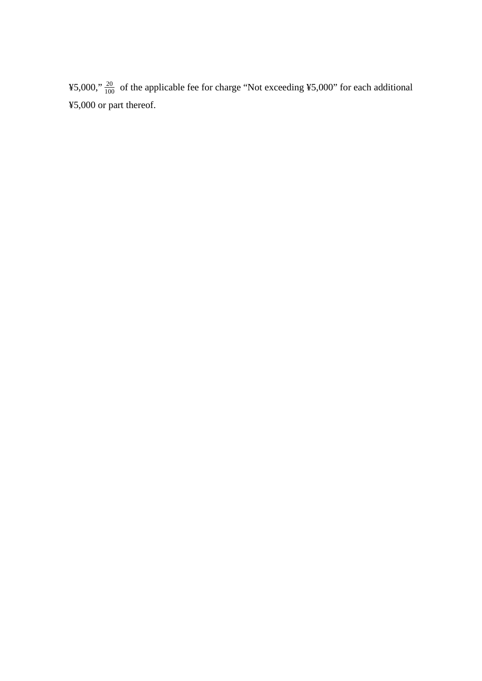¥5,000,"  $\frac{20}{100}$  of the applicable fee for charge "Not exceeding ¥5,000" for each additional ¥5,000 or part thereof.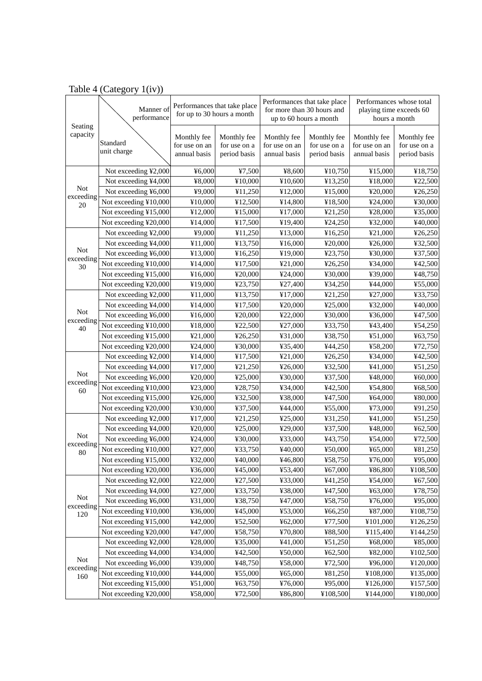|                     | Manner of<br>performance | Performances that take place<br>for up to 30 hours a month |                                             | Performances that take place<br>for more than 30 hours and<br>up to 60 hours a month |                                             | Performances whose total<br>playing time exceeds 60<br>hours a month |                                             |
|---------------------|--------------------------|------------------------------------------------------------|---------------------------------------------|--------------------------------------------------------------------------------------|---------------------------------------------|----------------------------------------------------------------------|---------------------------------------------|
| Seating<br>capacity | Standard<br>unit charge  | Monthly fee<br>for use on an<br>annual basis               | Monthly fee<br>for use on a<br>period basis | Monthly fee<br>for use on an<br>annual basis                                         | Monthly fee<br>for use on a<br>period basis | Monthly fee<br>for use on an<br>annual basis                         | Monthly fee<br>for use on a<br>period basis |
|                     | Not exceeding ¥2,000     | ¥6,000                                                     | ¥7,500                                      | ¥8,600                                                                               | ¥10,750                                     | ¥15,000                                                              | ¥18,750                                     |
|                     | Not exceeding ¥4,000     | ¥8,000                                                     | ¥10,000                                     | ¥10,600                                                                              | ¥13,250                                     | ¥18,000                                                              | ¥22,500                                     |
| <b>Not</b>          | Not exceeding ¥6,000     | 49,000                                                     | ¥11,250                                     | ¥12,000                                                                              | ¥15,000                                     | ¥20,000                                                              | 426,250                                     |
| exceeding<br>20     | Not exceeding ¥10,000    | ¥10,000                                                    | ¥12,500                                     | ¥14,800                                                                              | ¥18,500                                     | ¥24,000                                                              | ¥30,000                                     |
|                     | Not exceeding ¥15,000    | ¥12,000                                                    | ¥15,000                                     | ¥17,000                                                                              | ¥21,250                                     | ¥28,000                                                              | ¥35,000                                     |
|                     | Not exceeding ¥20,000    | ¥14,000                                                    | ¥17,500                                     | ¥19,400                                                                              | ¥24,250                                     | ¥32,000                                                              | ¥40,000                                     |
|                     | Not exceeding ¥2,000     | ¥9,000                                                     | ¥11,250                                     | ¥13,000                                                                              | ¥16,250                                     | ¥21,000                                                              | ¥26,250                                     |
|                     | Not exceeding ¥4,000     | ¥11,000                                                    | ¥13,750                                     | ¥16,000                                                                              | ¥20,000                                     | ¥26,000                                                              | ¥32,500                                     |
| <b>Not</b>          | Not exceeding ¥6,000     | ¥13,000                                                    | ¥16,250                                     | ¥19,000                                                                              | ¥23,750                                     | ¥30,000                                                              | ¥37,500                                     |
| exceeding<br>30     | Not exceeding ¥10,000    | ¥14,000                                                    | ¥17,500                                     | ¥21,000                                                                              | ¥26,250                                     | ¥34,000                                                              | ¥42,500                                     |
|                     | Not exceeding ¥15,000    | ¥16,000                                                    | ¥20,000                                     | ¥24,000                                                                              | ¥30,000                                     | ¥39,000                                                              | ¥48,750                                     |
|                     | Not exceeding ¥20,000    | ¥19,000                                                    | ¥23,750                                     | ¥27,400                                                                              | ¥34,250                                     | ¥44,000                                                              | ¥55,000                                     |
|                     | Not exceeding ¥2,000     | ¥11,000                                                    | ¥13,750                                     | ¥17,000                                                                              | ¥21,250                                     | ¥27,000                                                              | ¥33,750                                     |
|                     | Not exceeding ¥4,000     | ¥14,000                                                    | ¥17,500                                     | ¥20,000                                                                              | ¥25,000                                     | ¥32,000                                                              | ¥40,000                                     |
| <b>Not</b>          | Not exceeding ¥6,000     | ¥16,000                                                    | ¥20,000                                     | ¥22,000                                                                              | ¥30,000                                     | ¥36,000                                                              | ¥47,500                                     |
| exceeding<br>40     | Not exceeding ¥10,000    | ¥18,000                                                    | ¥22,500                                     | ¥27,000                                                                              | ¥33,750                                     | ¥43,400                                                              | ¥54,250                                     |
|                     | Not exceeding ¥15,000    | ¥21,000                                                    | ¥26,250                                     | ¥31,000                                                                              | ¥38,750                                     | 451,000                                                              | ¥63,750                                     |
|                     | Not exceeding ¥20,000    | ¥24,000                                                    | ¥30,000                                     | ¥35,400                                                                              | ¥44,250                                     | ¥58,200                                                              | ¥72,750                                     |
|                     | Not exceeding ¥2,000     | ¥14,000                                                    | ¥17,500                                     | ¥21,000                                                                              | ¥26,250                                     | ¥34,000                                                              | ¥42,500                                     |
|                     | Not exceeding ¥4,000     | ¥17,000                                                    | ¥21,250                                     | ¥26,000                                                                              | ¥32,500                                     | ¥41,000                                                              | ¥51,250                                     |
| <b>Not</b>          | Not exceeding ¥6,000     | ¥20,000                                                    | ¥25,000                                     | ¥30,000                                                                              | ¥37,500                                     | ¥48,000                                                              | ¥60,000                                     |
| exceeding<br>60     | Not exceeding ¥10,000    | ¥23,000                                                    | ¥28,750                                     | ¥34,000                                                                              | ¥42,500                                     | ¥54,800                                                              | ¥68,500                                     |
|                     | Not exceeding ¥15,000    | 426,000                                                    | ¥32,500                                     | ¥38,000                                                                              | ¥47,500                                     | ¥64,000                                                              | ¥80,000                                     |
|                     | Not exceeding ¥20,000    | ¥30,000                                                    | ¥37,500                                     | ¥44,000                                                                              | ¥55,000                                     | ¥73,000                                                              | ¥91,250                                     |
|                     | Not exceeding ¥2,000     | ¥17,000                                                    | ¥21,250                                     | ¥25,000                                                                              | ¥31,250                                     | ¥41,000                                                              | ¥51,250                                     |
|                     | Not exceeding ¥4,000     | ¥20,000                                                    | ¥25,000                                     | ¥29,000                                                                              | ¥37,500                                     | ¥48,000                                                              | ¥62,500                                     |
| <b>Not</b>          | Not exceeding ¥6,000     | ¥24,000                                                    | ¥30,000                                     | ¥33,000                                                                              | ¥43,750                                     | ¥54,000                                                              | ¥72,500                                     |
| exceeding<br>80     | Not exceeding ¥10,000    | ¥27,000                                                    | ¥33,750                                     | ¥40,000                                                                              | ¥50,000                                     | 465,000                                                              | ¥81,250                                     |
|                     | Not exceeding ¥15,000    | ¥32,000                                                    | ¥40,000                                     | ¥46,800                                                                              | ¥58,750                                     | ¥76,000                                                              | ¥95,000                                     |
|                     | Not exceeding ¥20,000    | ¥36,000                                                    | ¥45,000                                     | ¥53,400                                                                              | ¥67,000                                     | ¥86,800                                                              | ¥108,500                                    |
|                     | Not exceeding ¥2,000     | ¥22,000                                                    | ¥27,500                                     | ¥33,000                                                                              | ¥41,250                                     | ¥54,000                                                              | 467,500                                     |
|                     | Not exceeding ¥4,000     | ¥27,000                                                    | ¥33,750                                     | ¥38,000                                                                              | ¥47,500                                     | ¥63,000                                                              | ¥78,750                                     |
| Not                 | Not exceeding ¥6,000     | ¥31,000                                                    | ¥38,750                                     | ¥47,000                                                                              | ¥58,750                                     | ¥76,000                                                              | ¥95,000                                     |
| exceeding<br>120    | Not exceeding ¥10,000    | ¥36,000                                                    | ¥45,000                                     | ¥53,000                                                                              | ¥66,250                                     | ¥87,000                                                              | ¥108,750                                    |
|                     | Not exceeding ¥15,000    | ¥42,000                                                    | ¥52,500                                     | ¥ $62,000$                                                                           | ¥77,500                                     | ¥101,000                                                             | ¥126,250                                    |
|                     | Not exceeding ¥20,000    | ¥47,000                                                    | ¥58,750                                     | ¥70,800                                                                              | ¥88,500                                     | ¥115,400                                                             | ¥144,250                                    |
|                     | Not exceeding ¥2,000     | ¥28,000                                                    | ¥35,000                                     | ¥41,000                                                                              | ¥51,250                                     | ¥68,000                                                              | ¥85,000                                     |
|                     | Not exceeding ¥4,000     | ¥34,000                                                    | ¥42,500                                     | ¥50,000                                                                              | ¥62,500                                     | ¥82,000                                                              | ¥102,500                                    |
| Not                 | Not exceeding ¥6,000     | ¥39,000                                                    | ¥48,750                                     | ¥58,000                                                                              | ¥72,500                                     | ¥96,000                                                              | ¥120,000                                    |
| exceeding<br>160    | Not exceeding ¥10,000    | ¥44,000                                                    | ¥55,000                                     | ¥ $65,000$                                                                           | ¥81,250                                     | ¥108,000                                                             | ¥135,000                                    |
|                     | Not exceeding ¥15,000    | ¥51,000                                                    | ¥63,750                                     | ¥76,000                                                                              | ¥95,000                                     | ¥126,000                                                             | ¥157,500                                    |
|                     | Not exceeding ¥20,000    | ¥58,000                                                    | ¥72,500                                     | ¥86,800                                                                              | ¥108,500                                    | ¥144,000                                                             | ¥180,000                                    |

### Table 4 (Category 1(iv))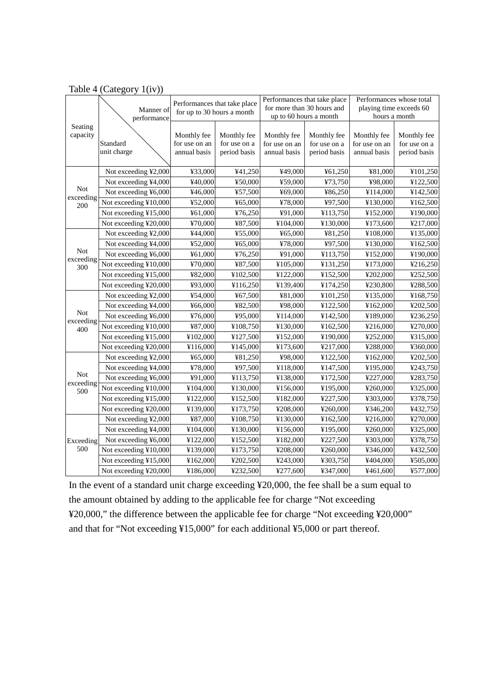|                  |                       | Performances that take place |                             | Performances that take place |                             | Performances whose total     |                             |
|------------------|-----------------------|------------------------------|-----------------------------|------------------------------|-----------------------------|------------------------------|-----------------------------|
|                  | Manner of             | for up to 30 hours a month   |                             | for more than 30 hours and   |                             | playing time exceeds 60      |                             |
|                  | performance           |                              |                             |                              | up to 60 hours a month      | hours a month                |                             |
| Seating          |                       |                              |                             |                              |                             |                              |                             |
| capacity         | Standard              | Monthly fee<br>for use on an | Monthly fee<br>for use on a | Monthly fee<br>for use on an | Monthly fee<br>for use on a | Monthly fee<br>for use on an | Monthly fee<br>for use on a |
|                  | unit charge           | annual basis                 | period basis                | annual basis                 | period basis                | annual basis                 | period basis                |
|                  |                       |                              |                             |                              |                             |                              |                             |
|                  | Not exceeding ¥2,000  | ¥33,000                      | ¥41,250                     | ¥49,000                      | ¥61,250                     | ¥81,000                      | ¥101,250                    |
|                  | Not exceeding ¥4,000  | ¥40,000                      | ¥50,000                     | ¥59,000                      | ¥73,750                     | ¥98,000                      | ¥122,500                    |
| <b>Not</b>       | Not exceeding ¥6,000  | ¥46,000                      | ¥57,500                     | ¥69,000                      | ¥86,250                     | ¥114,000                     | ¥142,500                    |
| exceeding<br>200 | Not exceeding ¥10,000 | ¥52,000                      | ¥65,000                     | ¥78,000                      | ¥97,500                     | ¥130,000                     | ¥162,500                    |
|                  | Not exceeding ¥15,000 | ¥61,000                      | ¥76,250                     | ¥91,000                      | ¥113,750                    | ¥152,000                     | ¥190,000                    |
|                  | Not exceeding ¥20,000 | ¥70,000                      | ¥87,500                     | ¥104,000                     | ¥130,000                    | ¥173,600                     | ¥217,000                    |
|                  | Not exceeding ¥2,000  | ¥44,000                      | ¥55,000                     | 465,000                      | ¥81,250                     | ¥108,000                     | ¥135,000                    |
|                  | Not exceeding ¥4,000  | ¥52,000                      | ¥65,000                     | ¥78,000                      | ¥97,500                     | ¥130,000                     | ¥162,500                    |
| <b>Not</b>       | Not exceeding ¥6,000  | ¥61,000                      | ¥76,250                     | ¥91,000                      | ¥113,750                    | ¥152,000                     | ¥190,000                    |
| exceeding<br>300 | Not exceeding ¥10,000 | ¥70,000                      | ¥87,500                     | ¥105,000                     | ¥131,250                    | ¥173,000                     | ¥216,250                    |
|                  | Not exceeding ¥15,000 | ¥82,000                      | ¥102,500                    | ¥122,000                     | ¥152,500                    | ¥202,000                     | ¥252,500                    |
|                  | Not exceeding ¥20,000 | ¥93,000                      | ¥116,250                    | ¥139,400                     | ¥174,250                    | ¥230,800                     | ¥288,500                    |
|                  | Not exceeding ¥2,000  | ¥54,000                      | ¥67,500                     | ¥81,000                      | ¥101,250                    | ¥135,000                     | ¥168,750                    |
|                  | Not exceeding ¥4,000  | ¥66,000                      | ¥82,500                     | ¥98,000                      | ¥122,500                    | ¥162,000                     | ¥202,500                    |
| <b>Not</b>       | Not exceeding ¥6,000  | ¥76,000                      | ¥95,000                     | ¥114,000                     | ¥142,500                    | ¥189,000                     | ¥236,250                    |
| exceeding<br>400 | Not exceeding ¥10,000 | ¥87,000                      | ¥108,750                    | ¥130,000                     | ¥162,500                    | ¥216,000                     | ¥270,000                    |
|                  | Not exceeding ¥15,000 | ¥102,000                     | ¥127,500                    | ¥152,000                     | ¥190,000                    | ¥252,000                     | ¥315,000                    |
|                  | Not exceeding ¥20,000 | ¥116,000                     | ¥145,000                    | ¥173,600                     | ¥217,000                    | ¥288,000                     | ¥360,000                    |
|                  | Not exceeding ¥2,000  | ¥65,000                      | ¥81,250                     | ¥98,000                      | ¥122,500                    | ¥162,000                     | ¥202,500                    |
|                  | Not exceeding ¥4,000  | ¥78,000                      | ¥97,500                     | ¥118,000                     | ¥147,500                    | ¥195,000                     | ¥243,750                    |
| <b>Not</b>       | Not exceeding ¥6,000  | ¥91,000                      | ¥113,750                    | ¥138,000                     | ¥172,500                    | ¥227,000                     | ¥283,750                    |
| exceeding<br>500 | Not exceeding ¥10,000 | ¥104,000                     | ¥130,000                    | ¥156,000                     | ¥195,000                    | ¥260,000                     | ¥325,000                    |
|                  | Not exceeding ¥15,000 | ¥122,000                     | ¥152,500                    | ¥182,000                     | ¥227,500                    | ¥303,000                     | ¥378,750                    |
|                  | Not exceeding ¥20,000 | ¥139,000                     | ¥173,750                    | ¥208,000                     | ¥260,000                    | ¥346,200                     | ¥432,750                    |
|                  | Not exceeding ¥2,000  | ¥87,000                      | ¥108,750                    | ¥130,000                     | ¥162,500                    | ¥216,000                     | ¥270,000                    |
|                  | Not exceeding ¥4,000  | ¥104,000                     | ¥130,000                    | ¥156,000                     | ¥195,000                    | ¥260,000                     | ¥325,000                    |
| Exceeding        | Not exceeding ¥6,000  | ¥122,000                     | ¥152,500                    | ¥182,000                     | ¥227,500                    | ¥303,000                     | ¥378,750                    |
| 500              | Not exceeding ¥10,000 | ¥139,000                     | ¥173,750                    | ¥208,000                     | ¥260,000                    | ¥346,000                     | ¥432,500                    |
|                  | Not exceeding ¥15,000 | ¥162,000                     | ¥202,500                    | ¥243,000                     | ¥303,750                    | ¥404,000                     | ¥505,000                    |
|                  | Not exceeding ¥20,000 | ¥186,000                     | ¥232,500                    | ¥277,600                     | ¥347,000                    | ¥461,600                     | ¥577,000                    |

### Table 4 (Category 1(iv))

In the event of a standard unit charge exceeding ¥20,000, the fee shall be a sum equal to the amount obtained by adding to the applicable fee for charge "Not exceeding ¥20,000," the difference between the applicable fee for charge "Not exceeding ¥20,000" and that for "Not exceeding ¥15,000" for each additional ¥5,000 or part thereof.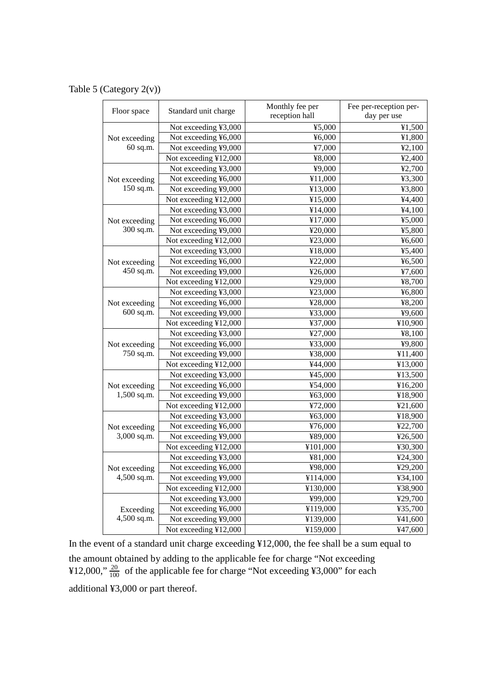Table 5 (Category 2(v))

| Floor space   | Standard unit charge  | Monthly fee per<br>reception hall | Fee per-reception per-<br>day per use |
|---------------|-----------------------|-----------------------------------|---------------------------------------|
|               | Not exceeding ¥3,000  | 45,000                            | ¥1,500                                |
| Not exceeding | Not exceeding ¥6,000  | 46,000                            | ¥1,800                                |
| 60 sq.m.      | Not exceeding ¥9,000  | ¥7,000                            | ¥2,100                                |
|               | Not exceeding ¥12,000 | ¥8,000                            | 42,400                                |
|               | Not exceeding ¥3,000  | ¥9,000                            | ¥2,700                                |
| Not exceeding | Not exceeding ¥6,000  | ¥11,000                           | ¥3,300                                |
| 150 sq.m.     | Not exceeding ¥9,000  | ¥13,000                           | ¥3,800                                |
|               | Not exceeding ¥12,000 | ¥15,000                           | ¥4,400                                |
|               | Not exceeding ¥3,000  | ¥14,000                           | 44,100                                |
| Not exceeding | Not exceeding ¥6,000  | ¥17,000                           | ¥5,000                                |
| 300 sq.m.     | Not exceeding ¥9,000  | ¥20,000                           | ¥5,800                                |
|               | Not exceeding ¥12,000 | ¥23,000                           | 46,600                                |
|               | Not exceeding ¥3,000  | ¥18,000                           | ¥5,400                                |
| Not exceeding | Not exceeding ¥6,000  | ¥22,000                           | 46,500                                |
| 450 sq.m.     | Not exceeding ¥9,000  | ¥26,000                           | ¥7,600                                |
|               | Not exceeding ¥12,000 | ¥29,000                           | ¥8,700                                |
|               | Not exceeding ¥3,000  | ¥23,000                           | ¥6,800                                |
| Not exceeding | Not exceeding ¥6,000  | ¥28,000                           | ¥8,200                                |
| 600 sq.m.     | Not exceeding ¥9,000  | ¥33,000                           | ¥9,600                                |
|               | Not exceeding ¥12,000 | ¥37,000                           | ¥10,900                               |
|               | Not exceeding ¥3,000  | ¥27,000                           | ¥8,100                                |
| Not exceeding | Not exceeding ¥6,000  | ¥33,000                           | ¥9,800                                |
| 750 sq.m.     | Not exceeding ¥9,000  | ¥38,000                           | ¥11,400                               |
|               | Not exceeding ¥12,000 | ¥44,000                           | ¥13,000                               |
|               | Not exceeding ¥3,000  | ¥45,000                           | ¥13,500                               |
| Not exceeding | Not exceeding ¥6,000  | ¥54,000                           | ¥16,200                               |
| 1,500 sq.m.   | Not exceeding ¥9,000  | ¥63,000                           | ¥18,900                               |
|               | Not exceeding ¥12,000 | ¥72,000                           | ¥21,600                               |
|               | Not exceeding ¥3,000  | ¥63,000                           | ¥18,900                               |
| Not exceeding | Not exceeding ¥6,000  | ¥76,000                           | ¥22,700                               |
| 3,000 sq.m.   | Not exceeding ¥9,000  | ¥89,000                           | ¥26,500                               |
|               | Not exceeding ¥12,000 | ¥101,000                          | ¥30,300                               |
|               | Not exceeding ¥3,000  | ¥81,000                           | ¥24,300                               |
| Not exceeding | Not exceeding ¥6,000  | ¥98,000                           | ¥29,200                               |
| 4,500 sq.m.   | Not exceeding ¥9,000  | ¥114,000                          | ¥34,100                               |
|               | Not exceeding ¥12,000 | ¥130,000                          | ¥38,900                               |
|               | Not exceeding ¥3,000  | ¥99,000                           | ¥29,700                               |
| Exceeding     | Not exceeding ¥6,000  | ¥119,000                          | ¥35,700                               |
| 4,500 sq.m.   | Not exceeding ¥9,000  | ¥139,000                          | ¥41,600                               |
|               | Not exceeding ¥12,000 | ¥159,000                          | ¥47,600                               |

In the event of a standard unit charge exceeding ¥12,000, the fee shall be a sum equal to the amount obtained by adding to the applicable fee for charge "Not exceeding ¥12,000,"  $\frac{20}{100}$  of the applicable fee for charge "Not exceeding ¥3,000" for each additional ¥3,000 or part thereof.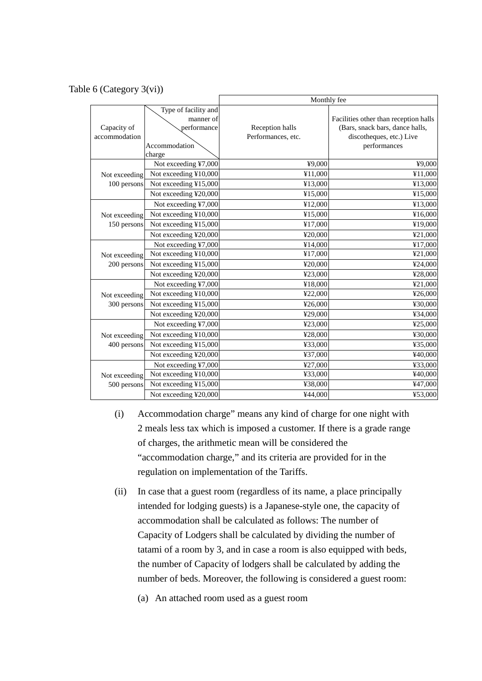### Table 6 (Category 3(vi))

|                              |                                                                   | Monthly fee                           |                                                                                                                      |  |  |
|------------------------------|-------------------------------------------------------------------|---------------------------------------|----------------------------------------------------------------------------------------------------------------------|--|--|
| Capacity of<br>accommodation | Type of facility and<br>manner of<br>performance<br>Accommodation | Reception halls<br>Performances, etc. | Facilities other than reception halls<br>(Bars, snack bars, dance halls,<br>discotheques, etc.) Live<br>performances |  |  |
|                              | charge<br>Not exceeding ¥7,000                                    | ¥9,000                                | ¥9,000                                                                                                               |  |  |
|                              | Not exceeding ¥10,000                                             | ¥11,000                               | ¥11,000                                                                                                              |  |  |
| Not exceeding<br>100 persons | Not exceeding ¥15,000                                             | ¥13,000                               | ¥13,000                                                                                                              |  |  |
|                              | Not exceeding ¥20,000                                             | ¥15,000                               | ¥15,000                                                                                                              |  |  |
|                              | Not exceeding ¥7,000                                              | ¥12,000                               | ¥13,000                                                                                                              |  |  |
| Not exceeding                | Not exceeding ¥10,000                                             | ¥15,000                               | ¥16,000                                                                                                              |  |  |
| 150 persons                  | Not exceeding ¥15,000                                             | ¥17,000                               | ¥19,000                                                                                                              |  |  |
|                              | Not exceeding ¥20,000                                             | ¥20,000                               | ¥21,000                                                                                                              |  |  |
|                              | Not exceeding ¥7,000                                              | ¥14,000                               | ¥17,000                                                                                                              |  |  |
| Not exceeding                | Not exceeding ¥10,000                                             | ¥17,000                               | ¥21,000                                                                                                              |  |  |
| 200 persons                  | Not exceeding ¥15,000                                             | ¥20,000                               | ¥24,000                                                                                                              |  |  |
|                              | Not exceeding ¥20,000                                             | ¥23,000                               | ¥28,000                                                                                                              |  |  |
|                              | Not exceeding ¥7,000                                              | ¥18,000                               | ¥21,000                                                                                                              |  |  |
| Not exceeding                | Not exceeding ¥10,000                                             | ¥22,000                               | ¥26,000                                                                                                              |  |  |
| 300 persons                  | Not exceeding ¥15,000                                             | ¥26,000                               | ¥30,000                                                                                                              |  |  |
|                              | Not exceeding ¥20,000                                             | ¥29,000                               | ¥34,000                                                                                                              |  |  |
|                              | Not exceeding ¥7,000                                              | ¥23,000                               | ¥25,000                                                                                                              |  |  |
| Not exceeding                | Not exceeding ¥10,000                                             | ¥28,000                               | ¥30,000                                                                                                              |  |  |
| 400 persons                  | Not exceeding ¥15,000                                             | ¥33,000                               | ¥35,000                                                                                                              |  |  |
|                              | Not exceeding ¥20,000                                             | ¥37,000                               | ¥40,000                                                                                                              |  |  |
|                              | Not exceeding ¥7,000                                              | ¥27,000                               | ¥33,000                                                                                                              |  |  |
| Not exceeding                | Not exceeding ¥10,000                                             | ¥33,000                               | ¥40,000                                                                                                              |  |  |
| 500 persons                  | Not exceeding ¥15,000                                             | ¥38,000                               | ¥47,000                                                                                                              |  |  |
|                              | Not exceeding ¥20,000                                             | ¥44,000                               | ¥53,000                                                                                                              |  |  |

- (i) Accommodation charge" means any kind of charge for one night with 2 meals less tax which is imposed a customer. If there is a grade range of charges, the arithmetic mean will be considered the "accommodation charge," and its criteria are provided for in the regulation on implementation of the Tariffs.
- (ii) In case that a guest room (regardless of its name, a place principally intended for lodging guests) is a Japanese-style one, the capacity of accommodation shall be calculated as follows: The number of Capacity of Lodgers shall be calculated by dividing the number of tatami of a room by 3, and in case a room is also equipped with beds, the number of Capacity of lodgers shall be calculated by adding the number of beds. Moreover, the following is considered a guest room:
	- (a) An attached room used as a guest room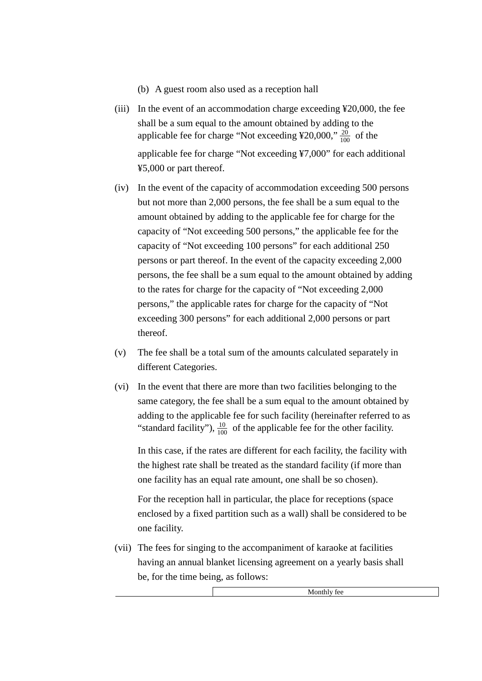- (b) A guest room also used as a reception hall
- (iii) In the event of an accommodation charge exceeding ¥20,000, the fee shall be a sum equal to the amount obtained by adding to the applicable fee for charge "Not exceeding  $\frac{420,000,720}{100}$  of the applicable fee for charge "Not exceeding ¥7,000" for each additional ¥5,000 or part thereof.
- (iv) In the event of the capacity of accommodation exceeding 500 persons but not more than 2,000 persons, the fee shall be a sum equal to the amount obtained by adding to the applicable fee for charge for the capacity of "Not exceeding 500 persons," the applicable fee for the capacity of "Not exceeding 100 persons" for each additional 250 persons or part thereof. In the event of the capacity exceeding 2,000 persons, the fee shall be a sum equal to the amount obtained by adding to the rates for charge for the capacity of "Not exceeding 2,000 persons," the applicable rates for charge for the capacity of "Not exceeding 300 persons" for each additional 2,000 persons or part thereof.
- (v) The fee shall be a total sum of the amounts calculated separately in different Categories.
- (vi) In the event that there are more than two facilities belonging to the same category, the fee shall be a sum equal to the amount obtained by adding to the applicable fee for such facility (hereinafter referred to as "standard facility"),  $\frac{10}{100}$  of the applicable fee for the other facility.

In this case, if the rates are different for each facility, the facility with the highest rate shall be treated as the standard facility (if more than one facility has an equal rate amount, one shall be so chosen).

For the reception hall in particular, the place for receptions (space enclosed by a fixed partition such as a wall) shall be considered to be one facility.

(vii) The fees for singing to the accompaniment of karaoke at facilities having an annual blanket licensing agreement on a yearly basis shall be, for the time being, as follows:

Monthly fee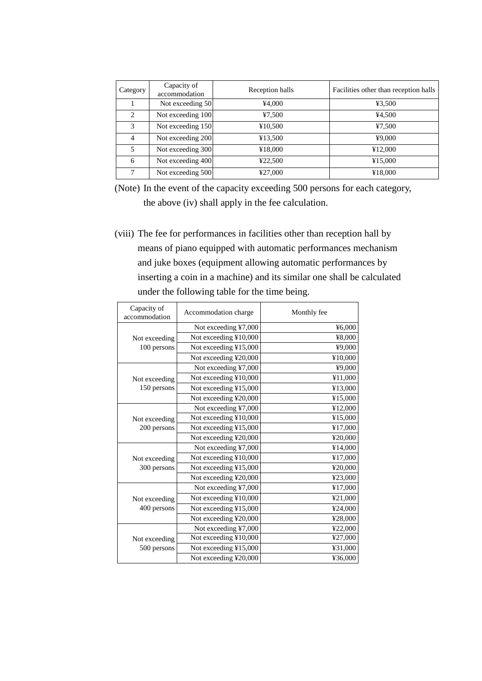| Category      | Capacity of<br>accommodation | Reception halls | Facilities other than reception halls |
|---------------|------------------------------|-----------------|---------------------------------------|
|               | Not exceeding 50             | ¥4,000          | 43,500                                |
| 2             | Not exceeding 100            | 47,500          | ¥4,500                                |
| $\mathcal{R}$ | Not exceeding 150            | ¥10,500         | 47,500                                |
| 4             | Not exceeding 200            | ¥13,500         | ¥9,000                                |
| 5             | Not exceeding 300            | ¥18,000         | ¥12,000                               |
| 6             | Not exceeding 400            | ¥22,500         | ¥15,000                               |
| 7             | Not exceeding 500            | ¥27,000         | ¥18,000                               |

(Note) In the event of the capacity exceeding 500 persons for each category, the above (iv) shall apply in the fee calculation.

(viii) The fee for performances in facilities other than reception hall by means of piano equipped with automatic performances mechanism and juke boxes (equipment allowing automatic performances by inserting a coin in a machine) and its similar one shall be calculated under the following table for the time being.

| Capacity of<br>accommodation | Accommodation charge  | Monthly fee |
|------------------------------|-----------------------|-------------|
|                              | Not exceeding ¥7,000  | ¥6,000      |
| Not exceeding                | Not exceeding ¥10,000 | ¥8,000      |
| 100 persons                  | Not exceeding ¥15,000 | ¥9,000      |
|                              | Not exceeding ¥20,000 | ¥10,000     |
|                              | Not exceeding ¥7,000  | ¥9,000      |
| Not exceeding                | Not exceeding ¥10,000 | ¥11,000     |
| 150 persons                  | Not exceeding ¥15,000 | ¥13,000     |
|                              | Not exceeding ¥20,000 | ¥15,000     |
|                              | Not exceeding ¥7,000  | ¥12,000     |
| Not exceeding                | Not exceeding ¥10,000 | ¥15,000     |
| 200 persons                  | Not exceeding ¥15,000 | ¥17,000     |
|                              | Not exceeding ¥20,000 | ¥20,000     |
|                              | Not exceeding ¥7,000  | ¥14,000     |
| Not exceeding                | Not exceeding ¥10,000 | ¥17,000     |
| 300 persons                  | Not exceeding ¥15,000 | ¥20,000     |
|                              | Not exceeding ¥20,000 | ¥23,000     |
|                              | Not exceeding ¥7,000  | ¥17,000     |
| Not exceeding                | Not exceeding ¥10,000 | ¥21,000     |
| 400 persons                  | Not exceeding ¥15,000 | ¥24,000     |
|                              | Not exceeding ¥20,000 | ¥28,000     |
|                              | Not exceeding ¥7,000  | ¥22,000     |
| Not exceeding                | Not exceeding ¥10,000 | ¥27,000     |
| 500 persons                  | Not exceeding ¥15,000 | ¥31,000     |
|                              | Not exceeding ¥20,000 | ¥36,000     |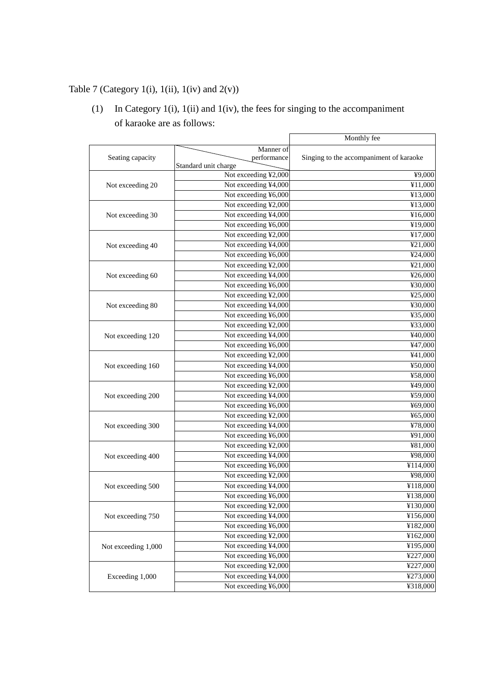# Table 7 (Category 1(i), 1(ii), 1(iv) and  $2(v)$ )

(1) In Category 1(i), 1(ii) and 1(iv), the fees for singing to the accompaniment of karaoke are as follows:

|                     |                      | Monthly fee                             |
|---------------------|----------------------|-----------------------------------------|
|                     | Manner of            |                                         |
| Seating capacity    | performance          | Singing to the accompaniment of karaoke |
|                     | Standard unit charge |                                         |
|                     | Not exceeding ¥2,000 | $\overline{49,000}$                     |
| Not exceeding 20    | Not exceeding ¥4,000 | ¥11,000                                 |
|                     | Not exceeding ¥6,000 | ¥13,000                                 |
|                     | Not exceeding ¥2,000 | ¥13,000                                 |
| Not exceeding 30    | Not exceeding ¥4,000 | ¥16,000                                 |
|                     | Not exceeding ¥6,000 | ¥19,000                                 |
|                     | Not exceeding ¥2,000 | ¥17,000                                 |
| Not exceeding 40    | Not exceeding ¥4,000 | ¥21,000                                 |
|                     | Not exceeding ¥6,000 | ¥24,000                                 |
|                     | Not exceeding ¥2,000 | ¥21,000                                 |
| Not exceeding 60    | Not exceeding ¥4,000 | ¥26,000                                 |
|                     | Not exceeding ¥6,000 | ¥30,000                                 |
|                     | Not exceeding ¥2,000 | ¥25,000                                 |
| Not exceeding 80    | Not exceeding ¥4,000 | ¥30,000                                 |
|                     | Not exceeding ¥6,000 | ¥35,000                                 |
|                     | Not exceeding ¥2,000 | ¥33,000                                 |
| Not exceeding 120   | Not exceeding ¥4,000 | ¥40,000                                 |
|                     | Not exceeding ¥6,000 | ¥47,000                                 |
|                     | Not exceeding ¥2,000 | ¥41,000                                 |
| Not exceeding 160   | Not exceeding ¥4,000 | ¥50,000                                 |
|                     | Not exceeding ¥6,000 | ¥58,000                                 |
|                     | Not exceeding ¥2,000 | ¥49,000                                 |
| Not exceeding 200   | Not exceeding ¥4,000 | ¥59,000                                 |
|                     | Not exceeding ¥6,000 | ¥69,000                                 |
|                     | Not exceeding ¥2,000 | ¥65,000                                 |
| Not exceeding 300   | Not exceeding ¥4,000 | ¥78,000                                 |
|                     | Not exceeding ¥6,000 | ¥91,000                                 |
|                     | Not exceeding ¥2,000 | ¥81,000                                 |
| Not exceeding 400   | Not exceeding ¥4,000 | ¥98,000                                 |
|                     | Not exceeding ¥6,000 | ¥114,000                                |
|                     | Not exceeding ¥2,000 | ¥98,000                                 |
| Not exceeding 500   | Not exceeding ¥4,000 | $\overline{4118,000}$                   |
|                     | Not exceeding ¥6,000 | ¥138,000                                |
|                     | Not exceeding ¥2,000 | ¥130,000                                |
| Not exceeding 750   | Not exceeding ¥4,000 | ¥156,000                                |
|                     | Not exceeding ¥6,000 | ¥182,000                                |
|                     | Not exceeding ¥2,000 | ¥162,000                                |
| Not exceeding 1,000 | Not exceeding ¥4,000 | ¥195,000                                |
|                     | Not exceeding ¥6,000 | ¥227,000                                |
|                     | Not exceeding ¥2,000 | ¥227,000                                |
| Exceeding 1,000     | Not exceeding ¥4,000 | ¥273,000                                |
|                     | Not exceeding ¥6,000 | ¥318,000                                |
|                     |                      |                                         |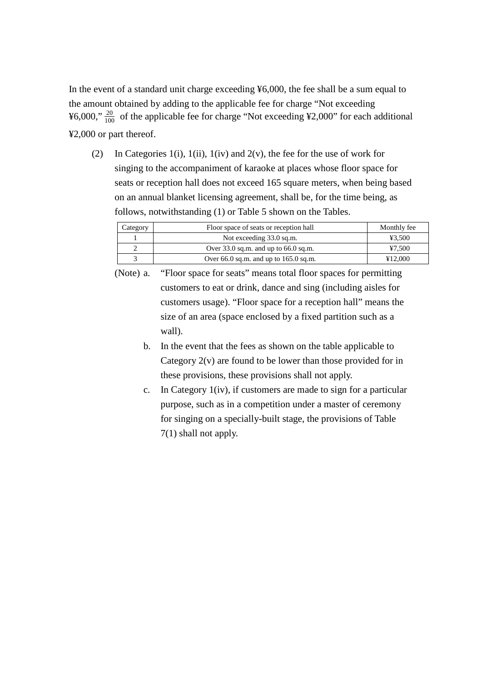In the event of a standard unit charge exceeding ¥6,000, the fee shall be a sum equal to the amount obtained by adding to the applicable fee for charge "Not exceeding ¥6,000,"  $\frac{20}{100}$  of the applicable fee for charge "Not exceeding ¥2,000" for each additional ¥2,000 or part thereof.

(2) In Categories 1(i), 1(ii), 1(iv) and 2(v), the fee for the use of work for singing to the accompaniment of karaoke at places whose floor space for seats or reception hall does not exceed 165 square meters, when being based on an annual blanket licensing agreement, shall be, for the time being, as follows, notwithstanding (1) or Table 5 shown on the Tables.

| Category | Floor space of seats or reception hall   | Monthly fee |
|----------|------------------------------------------|-------------|
|          | Not exceeding 33.0 sq.m.                 | ¥3.500      |
|          | Over $33.0$ sq.m. and up to $66.0$ sq.m. | ¥7.500      |
|          | Over 66.0 sq.m. and up to $165.0$ sq.m.  | ¥12.000     |

(Note) a. "Floor space for seats" means total floor spaces for permitting customers to eat or drink, dance and sing (including aisles for customers usage). "Floor space for a reception hall" means the size of an area (space enclosed by a fixed partition such as a wall).

- b. In the event that the fees as shown on the table applicable to Category  $2(v)$  are found to be lower than those provided for in these provisions, these provisions shall not apply.
- c. In Category 1(iv), if customers are made to sign for a particular purpose, such as in a competition under a master of ceremony for singing on a specially-built stage, the provisions of Table 7(1) shall not apply.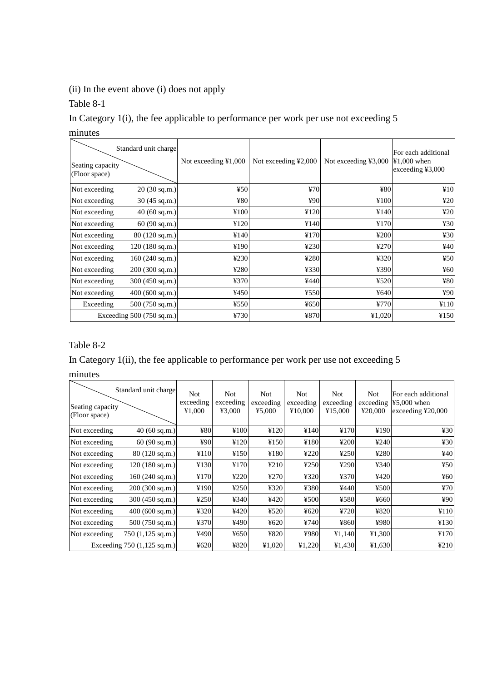# (ii) In the event above (i) does not apply

Table 8-1

In Category 1(i), the fee applicable to performance per work per use not exceeding 5 minutes

| Standard unit charge<br>Seating capacity<br>(Floor space) | Not exceeding $\text{\textsterling}1,000$ | Not exceeding ¥2,000 | Not exceeding ¥3,000 | For each additional<br>$¥1,000$ when<br>exceeding $43,000$ |
|-----------------------------------------------------------|-------------------------------------------|----------------------|----------------------|------------------------------------------------------------|
| Not exceeding<br>$20(30 \text{ sq.m.})$                   | 450                                       | 470                  | ¥80                  | ¥10                                                        |
| Not exceeding<br>$30(45 \text{ sq.m.})$                   | ¥80                                       | ¥90                  | ¥100                 | 420                                                        |
| $40(60 \text{ sq.m.})$<br>Not exceeding                   | ¥100                                      | ¥120                 | ¥140                 | 420                                                        |
| Not exceeding<br>60(90 sq.m.)                             | ¥120                                      | ¥140                 | ¥170                 | 430                                                        |
| Not exceeding<br>$80(120 \text{ sq.m.})$                  | ¥140                                      | ¥170                 | 4200                 | 430                                                        |
| 120(180 sq.m.)<br>Not exceeding                           | ¥190                                      | 4230                 | 4270                 | 440                                                        |
| 160(240 sq.m.)<br>Not exceeding                           | 4230                                      | ¥280                 | 4320                 | 450                                                        |
| Not exceeding<br>200(300 sq.m.)                           | ¥280                                      | ¥330                 | ¥390                 | 460                                                        |
| Not exceeding<br>$300(450 \text{ sq.m.})$                 | 4370                                      | ¥440                 | 4520                 | ¥80                                                        |
| Not exceeding<br>400 (600 sq.m.)                          | ¥450                                      | ¥550                 | 4640                 | 490                                                        |
| Exceeding<br>$500(750 \text{ sq.m.})$                     | ¥550                                      | ¥650                 | ¥770                 | ¥110                                                       |
| Exceeding $500(750 \text{ sq.m.})$                        | 4730                                      | ¥870                 | 41,020               | ¥150                                                       |

# Table 8-2

# In Category 1(ii), the fee applicable to performance per work per use not exceeding 5

minutes

|                                   | Standard unit charge                 | Not.                | Not.                | Not.                | <b>Not</b>           | <b>Not</b>           | <b>Not</b>           | For each additional                                     |
|-----------------------------------|--------------------------------------|---------------------|---------------------|---------------------|----------------------|----------------------|----------------------|---------------------------------------------------------|
| Seating capacity<br>(Floor space) |                                      | exceeding<br>¥1,000 | exceeding<br>¥3,000 | exceeding<br>¥5,000 | exceeding<br>¥10,000 | exceeding<br>¥15,000 | exceeding<br>¥20,000 | $45,000$ when<br>exceeding $\text{\textsterling}20,000$ |
| Not exceeding                     | $40(60 \text{ sq.m.})$               | ¥80                 | ¥100                | ¥120                | ¥140                 | ¥170                 | ¥190                 | 430                                                     |
| Not exceeding                     | 60 (90 sq.m.)                        | ¥90                 | ¥120                | ¥150                | ¥180                 | 4200                 | 4240                 | 430                                                     |
| Not exceeding                     | $80(120 \text{ sq.m.})$              | ¥110                | ¥150                | ¥180                | 4220                 | 4250                 | ¥280                 | 440                                                     |
| Not exceeding                     | 120(180 sq.m.)                       | ¥130                | ¥170                | 4210                | 4250                 | ¥290                 | ¥340                 | 450                                                     |
| Not exceeding                     | $160(240 \text{ sq.m.})$             | ¥170                | 4220                | ¥270                | ¥320                 | ¥370                 | ¥420                 | ¥60                                                     |
| Not exceeding                     | $200(300 \text{ sq.m.})$             | ¥190                | 4250                | 4320                | ¥380                 | ¥440                 | 4500                 | 470                                                     |
| Not exceeding                     | $300(450 \text{ sq.m.})$             | 4250                | ¥340                | 4420                | 4500                 | ¥580                 | 4660                 | 490                                                     |
| Not exceeding                     | 400(600 sq.m.)                       | ¥320                | ¥420                | 4520                | 4620                 | ¥720                 | ¥820                 | ¥110                                                    |
| Not exceeding                     | $500(750 \text{ sq.m.})$             | ¥370                | ¥490                | 4620                | ¥740                 | ¥860                 | ¥980                 | ¥130                                                    |
| Not exceeding                     | $750(1,125 \text{ sq.m.})$           | ¥490                | ¥650                | ¥820                | ¥980                 | 41,140               | ¥1,300               | ¥170                                                    |
|                                   | Exceeding $750(1,125 \text{ sq.m.})$ | 4620                | ¥820                | ¥1,020              | 41,220               | 41,430               | 41,630               | 4210                                                    |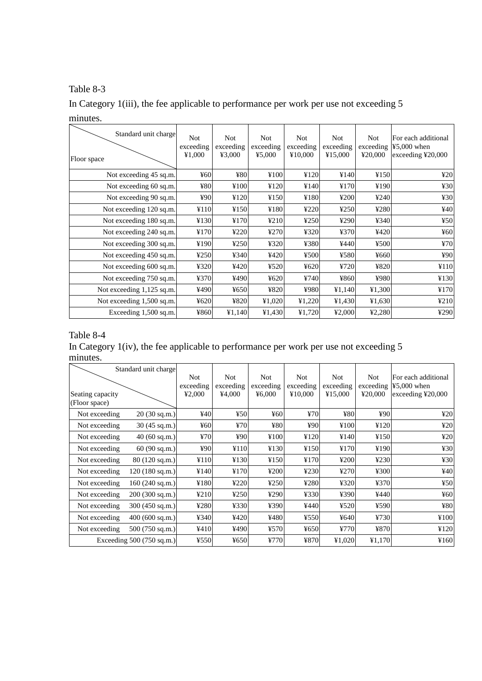# Table 8-3

In Category 1(iii), the fee applicable to performance per work per use not exceeding 5 minutes.

| Standard unit charge<br>Floor space | <b>Not</b><br>exceeding<br>¥1,000 | Not<br>exceeding<br>¥3,000 | <b>Not</b><br>exceeding<br>45,000 | <b>Not</b><br>exceeding<br>¥10,000 | <b>Not</b><br>exceeding<br>¥15,000 | <b>Not</b><br>exceeding<br>¥20,000 | For each additional<br>$45,000$ when<br>exceeding $\text{\textsterling}20,000$ |
|-------------------------------------|-----------------------------------|----------------------------|-----------------------------------|------------------------------------|------------------------------------|------------------------------------|--------------------------------------------------------------------------------|
| Not exceeding 45 sq.m.              | $\frac{1}{2}60$                   | ¥80                        | ¥100                              | ¥120                               | ¥140                               | ¥150                               | 420                                                                            |
| Not exceeding 60 sq.m.              | ¥80                               | ¥100                       | ¥120                              | ¥140                               | ¥170                               | ¥190                               | 430                                                                            |
| Not exceeding 90 sq.m.              | 490                               | ¥120                       | ¥150                              | ¥180                               | 4200                               | 4240                               | 430                                                                            |
| Not exceeding 120 sq.m.             | ¥110                              | ¥150                       | ¥180                              | 4220                               | 4250                               | ¥280                               | 440                                                                            |
| Not exceeding 180 sq.m.             | ¥130                              | ¥170                       | 4210                              | 4250                               | ¥290                               | ¥340                               | 450                                                                            |
| Not exceeding 240 sq.m.             | ¥170                              | 4220                       | ¥270                              | ¥320                               | ¥370                               | ¥420                               | ¥60                                                                            |
| Not exceeding 300 sq.m.             | ¥190                              | 4250                       | ¥320                              | ¥380                               | ¥440                               | 4500                               | 470                                                                            |
| Not exceeding 450 sq.m.             | 4250                              | ¥340                       | ¥420                              | ¥500                               | ¥580                               | ¥660                               | 490                                                                            |
| Not exceeding 600 sq.m.             | ¥320                              | ¥420                       | 4520                              | 4620                               | 4720                               | ¥820                               | ¥110                                                                           |
| Not exceeding 750 sq.m.             | ¥370                              | ¥490                       | 4620                              | ¥740                               | ¥860                               | ¥980                               | ¥130                                                                           |
| Not exceeding 1,125 sq.m.           | ¥490                              | 4650                       | ¥820                              | ¥980                               | ¥1,140                             | ¥1,300                             | ¥170                                                                           |
| Not exceeding 1,500 sq.m.           | 4620                              | ¥820                       | ¥1,020                            | 41,220                             | ¥1,430                             | 41,630                             | ¥210                                                                           |
| Exceeding 1,500 sq.m.               | ¥860                              | ¥1,140                     | ¥1,430                            | ¥1,720                             | 42,000                             | 42,280                             | ¥290                                                                           |

# Table 8-4

In Category 1(iv), the fee applicable to performance per work per use not exceeding 5 minutes.

|                  | Standard unit charge               |                 |            |            |            |            |            |                                        |
|------------------|------------------------------------|-----------------|------------|------------|------------|------------|------------|----------------------------------------|
|                  |                                    | Not.            | <b>Not</b> | <b>Not</b> | <b>Not</b> | <b>Not</b> | <b>Not</b> | For each additional                    |
|                  |                                    | exceeding       | exceeding  | exceeding  | exceeding  | exceeding  | exceeding  | $45,000$ when                          |
| Seating capacity |                                    | 42,000          | ¥4,000     | 46,000     | ¥10,000    | ¥15,000    | ¥20,000    | exceeding $\text{\textsterling}20,000$ |
| (Floor space)    |                                    |                 |            |            |            |            |            |                                        |
| Not exceeding    | 20(30 sq.m.)                       | 440             | 450        | 460        | 470        | ¥80        | 490        | 420                                    |
| Not exceeding    | $30(45 \text{ sq.m.})$             | $\frac{1}{2}60$ | 470        | ¥80        | 490        | ¥100       | ¥120       | 420                                    |
| Not exceeding    | $40(60 \text{ sq.m.})$             | 470             | ¥90        | ¥100       | ¥120       | ¥140       | ¥150       | 420                                    |
| Not exceeding    | 60(90 sq.m.)                       | ¥90             | ¥110       | ¥130       | ¥150       | ¥170       | ¥190       | 430                                    |
| Not exceeding    | $80(120 \text{ sq.m.})$            | ¥110            | ¥130       | ¥150       | ¥170       | 4200       | 4230       | 430                                    |
| Not exceeding    | $120(180 \text{ sq.m.})$           | ¥140            | ¥170       | 4200       | 4230       | 4270       | ¥300       | ¥40                                    |
| Not exceeding    | 160(240 sq.m.)                     | ¥180            | 4220       | 4250       | ¥280       | ¥320       | ¥370       | ¥50                                    |
| Not exceeding    | 200(300 sq.m.)                     | 4210            | 4250       | 4290       | ¥330       | ¥390       | ¥440       | $\frac{1}{2}60$                        |
| Not exceeding    | $300(450 \text{ sq.m.})$           | ¥280            | ¥330       | ¥390       | ¥440       | ¥520       | ¥590       | ¥80                                    |
| Not exceeding    | $400(600 \text{ sq.m.})$           | ¥340            | ¥420       | ¥480       | ¥550       | 4640       | ¥730       | ¥100                                   |
| Not exceeding    | $500(750 \text{ sq.m.})$           | ¥410            | ¥490       | ¥570       | ¥650       | ¥770       | ¥870       | ¥120                                   |
|                  | Exceeding $500(750 \text{ sq.m.})$ | ¥550            | ¥650       | ¥770       | ¥870       | ¥1,020     | ¥1,170     | ¥160                                   |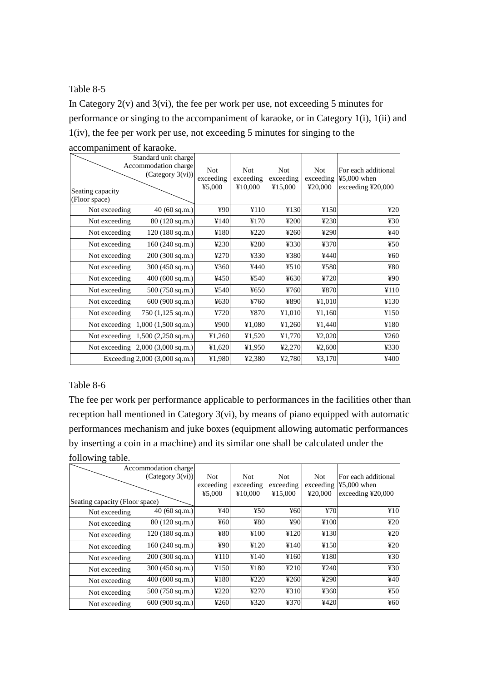### Table 8-5

In Category  $2(v)$  and  $3(vi)$ , the fee per work per use, not exceeding 5 minutes for performance or singing to the accompaniment of karaoke, or in Category 1(i), 1(ii) and 1(iv), the fee per work per use, not exceeding 5 minutes for singing to the

| Seating capacity<br>(Floor space) | Standard unit charge<br>Accommodation charge<br>$(C \text{category } 3(vi))$ | <b>Not</b><br>exceeding<br>¥5,000 | <b>Not</b><br>exceeding<br>¥10,000 | <b>Not</b><br>exceeding<br>¥15,000 | <b>Not</b><br>exceeding<br>¥20,000 | For each additional<br>$45,000$ when<br>exceeding ¥20,000 |
|-----------------------------------|------------------------------------------------------------------------------|-----------------------------------|------------------------------------|------------------------------------|------------------------------------|-----------------------------------------------------------|
| Not exceeding                     | 40 (60 sq.m.)                                                                | ¥90                               | ¥110                               | ¥130                               | ¥150                               | 420                                                       |
| Not exceeding                     | 80 (120 sq.m.)                                                               | ¥140                              | ¥170                               | ¥200                               | 4230                               | 430                                                       |
| Not exceeding                     | 120 (180 sq.m.)                                                              | ¥180                              | ¥220                               | ¥260                               | ¥290                               | 440                                                       |
| Not exceeding                     | 160 (240 sq.m.)                                                              | ¥230                              | ¥280                               | ¥330                               | ¥370                               | 450                                                       |
| Not exceeding                     | 200 (300 sq.m.)                                                              | ¥270                              | ¥330                               | ¥380                               | ¥440                               | $\frac{1}{2}60$                                           |
| Not exceeding                     | 300 (450 sq.m.)                                                              | ¥360                              | ¥440                               | 4510                               | ¥580                               | ¥80                                                       |
| Not exceeding                     | 400 (600 sq.m.)                                                              | ¥450                              | ¥540                               | ¥630                               | ¥720                               | 490                                                       |
| Not exceeding                     | 500 (750 sq.m.)                                                              | ¥540                              | ¥650                               | ¥760                               | ¥870                               | ¥110                                                      |
| Not exceeding                     | 600 (900 sq.m.)                                                              | ¥630                              | ¥760                               | ¥890                               | ¥1,010                             | ¥130                                                      |
| Not exceeding                     | 750 (1,125 sq.m.)                                                            | ¥720                              | ¥870                               | ¥1,010                             | ¥1,160                             | ¥150                                                      |
| Not exceeding                     | $1,000(1,500$ sq.m.)                                                         | ¥900                              | ¥1,080                             | ¥1,260                             | ¥1,440                             | ¥180                                                      |
| Not exceeding                     | $1,500$ (2,250 sq.m.)                                                        | 41,260                            | ¥1,520                             | ¥1,770                             | 42,020                             | 4260                                                      |
|                                   | Not exceeding $2,000 (3,000 \text{ sq.m.})$                                  | ¥1,620                            | ¥1,950                             | 42,270                             | 42,600                             | ¥330                                                      |
|                                   | Exceeding $2,000$ $(3,000 \text{ sq.m.})$                                    | ¥1,980                            | ¥2,380                             | ¥2,780                             | ¥3,170                             | ¥400                                                      |

accompaniment of karaoke.

### Table 8-6

The fee per work per performance applicable to performances in the facilities other than reception hall mentioned in Category 3(vi), by means of piano equipped with automatic performances mechanism and juke boxes (equipment allowing automatic performances by inserting a coin in a machine) and its similar one shall be calculated under the following table.

|                                | Accommodation charge        |                 |            |            |            |                                        |
|--------------------------------|-----------------------------|-----------------|------------|------------|------------|----------------------------------------|
|                                | $(C \text{ategory } 3(vi))$ | Not.            | <b>Not</b> | <b>Not</b> | <b>Not</b> | For each additional                    |
|                                |                             | exceeding       | exceeding  | exceeding  | exceeding  | $45,000$ when                          |
|                                |                             | ¥5,000          | ¥10,000    | ¥15,000    | ¥20,000    | exceeding $\text{\textsterling}20,000$ |
| Seating capacity (Floor space) |                             |                 |            |            |            |                                        |
| Not exceeding                  | 40 (60 sq.m.)               | 440             | 450        | ¥60        | 470        | ¥10                                    |
| Not exceeding                  | 80 (120 sq.m.)              | $\frac{1}{2}60$ | ¥80        | 490        | ¥100       | 420                                    |
| Not exceeding                  | 120(180 sq.m.)              | ¥80             | ¥100       | ¥120       | ¥130       | 420                                    |
| Not exceeding                  | $160(240 \text{ sq.m.})$    | ¥90             | ¥120       | ¥140       | ¥150       | 420                                    |
| Not exceeding                  | 200 (300 sq.m.)             | ¥110            | ¥140       | ¥160       | ¥180       | 430                                    |
| Not exceeding                  | 300 $(450 \text{ sq.m.})$   | ¥150            | ¥180       | 4210       | 4240       | 430                                    |
| Not exceeding                  | 400(600 sq.m.)              | ¥180            | ¥220       | 4260       | ¥290       | 440                                    |
| Not exceeding                  | $500(750 \text{ sq.m.})$    | ¥220            | ¥270       | ¥310       | ¥360       | 450                                    |
| Not exceeding                  | 600 (900 sq.m.)             | 4260            | ¥320       | ¥370       | ¥420       | 460                                    |